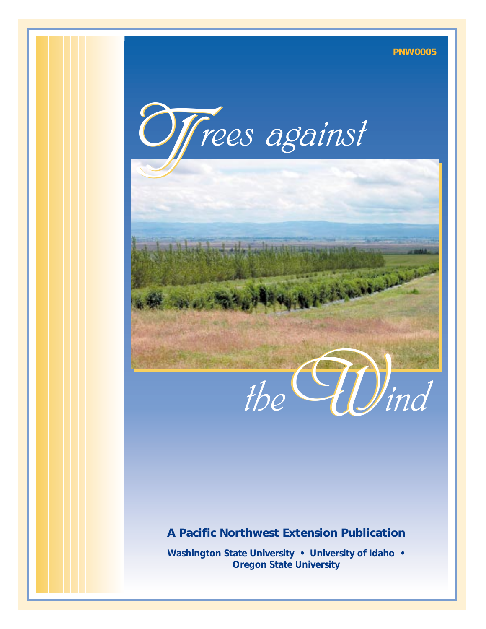



#### **A Pacific Northwest Extension Publication**

**Washington State University • University of Idaho • Oregon State University**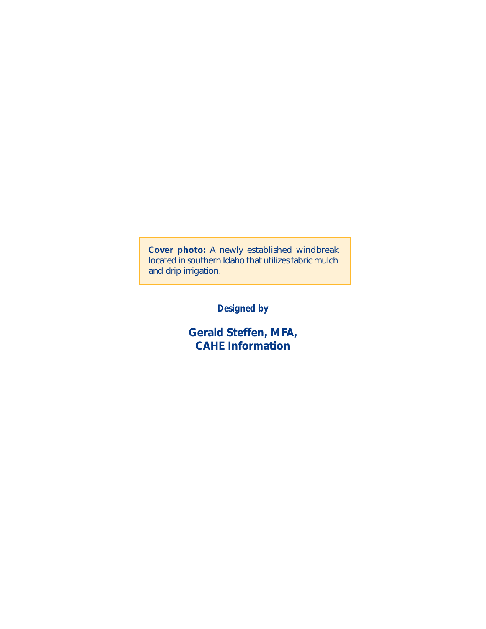**Cover photo:** A newly established windbreak located in southern Idaho that utilizes fabric mulch and drip irrigation.

*Designed by*

**Gerald Steffen, MFA, CAHE Information**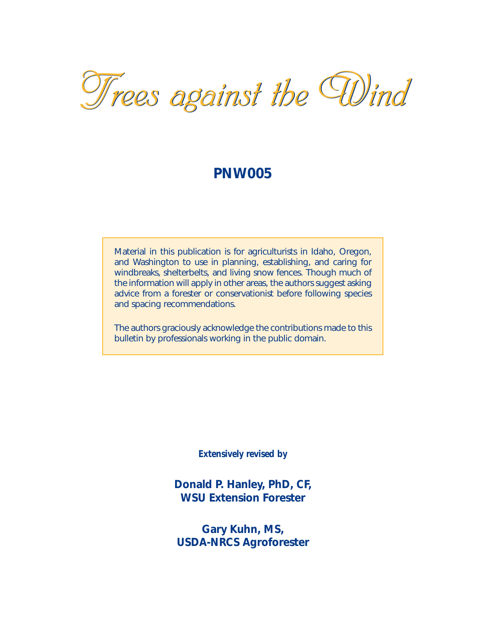# *Trees against the Wind Trees against the Wind*

#### **PNW005**

Material in this publication is for agriculturists in Idaho, Oregon, and Washington to use in planning, establishing, and caring for windbreaks, shelterbelts, and living snow fences. Though much of the information will apply in other areas, the authors suggest asking advice from a forester or conservationist before following species and spacing recommendations.

The authors graciously acknowledge the contributions made to this bulletin by professionals working in the public domain.

*Extensively revised by*

**Donald P. Hanley, PhD, CF, WSU Extension Forester**

**Gary Kuhn, MS, USDA-NRCS Agroforester**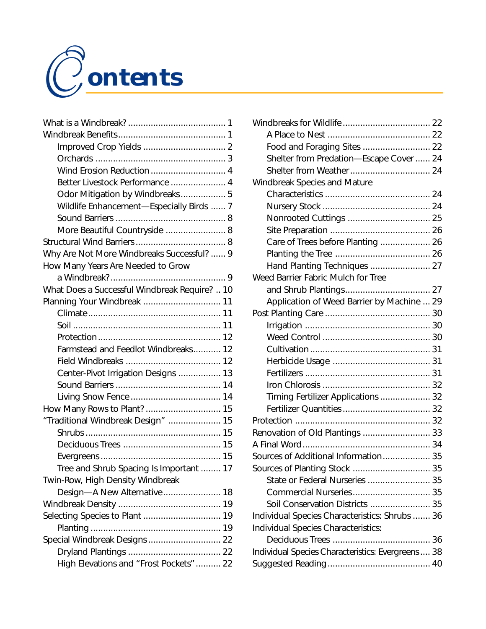

|                                               | Wii |
|-----------------------------------------------|-----|
|                                               |     |
|                                               |     |
|                                               |     |
|                                               |     |
| Better Livestock Performance  4               | Wii |
| Odor Mitigation by Windbreaks 5               |     |
| Wildlife Enhancement-Especially Birds  7      |     |
|                                               |     |
| More Beautiful Countryside  8                 |     |
|                                               |     |
| Why Are Not More Windbreaks Successful?  9    |     |
| How Many Years Are Needed to Grow             |     |
|                                               | We  |
| What Does a Successful Windbreak Require?  10 |     |
|                                               |     |
|                                               | Pos |
|                                               |     |
|                                               |     |
| Farmstead and Feedlot Windbreaks 12           |     |
|                                               |     |
| Center-Pivot Irrigation Designs  13           |     |
|                                               |     |
|                                               |     |
|                                               |     |
| "Traditional Windbreak Design"  15            | Prc |
|                                               | Rer |
|                                               | A F |
|                                               | Sor |
| Tree and Shrub Spacing Is Important  17       | So  |
| Twin-Row, High Density Windbreak              |     |
| Design-A New Alternative 18                   |     |
|                                               |     |
| Selecting Species to Plant  19                | Inc |
|                                               | Inc |
| Special Windbreak Designs  22                 |     |
|                                               | Ind |
| High Elevations and "Frost Pockets"  22       | Su  |

| Food and Foraging Sites  22                        |  |
|----------------------------------------------------|--|
| Shelter from Predation-Escape Cover  24            |  |
|                                                    |  |
| <b>Windbreak Species and Mature</b>                |  |
|                                                    |  |
|                                                    |  |
| Nonrooted Cuttings  25                             |  |
|                                                    |  |
| Care of Trees before Planting  26                  |  |
|                                                    |  |
| Hand Planting Techniques  27                       |  |
| Weed Barrier Fabric Mulch for Tree                 |  |
|                                                    |  |
| Application of Weed Barrier by Machine  29         |  |
|                                                    |  |
|                                                    |  |
|                                                    |  |
|                                                    |  |
|                                                    |  |
|                                                    |  |
|                                                    |  |
| Timing Fertilizer Applications  32                 |  |
|                                                    |  |
|                                                    |  |
| Renovation of Old Plantings  33                    |  |
|                                                    |  |
| Sources of Additional Information 35               |  |
|                                                    |  |
| State or Federal Nurseries  35                     |  |
|                                                    |  |
| Soil Conservation Districts  35                    |  |
| Individual Species Characteristics: Shrubs  36     |  |
| Individual Species Characteristics:                |  |
|                                                    |  |
| Individual Species Characteristics: Evergreens  38 |  |
|                                                    |  |
|                                                    |  |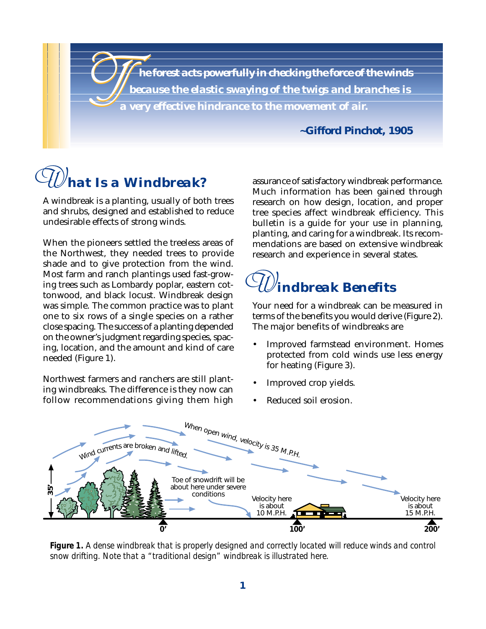$\bigcup_{a}^{r}$ *he forest acts powerfully in checking the force of the winds because the elastic swaying of the twigs and branches is a very effective hindrance to the movement of air.*

*~Gifford Pinchot, 1905*

#### *hat Is a Windbreak? W*

A windbreak is a planting, usually of both trees and shrubs, designed and established to reduce undesirable effects of strong winds.

When the pioneers settled the treeless areas of the Northwest, they needed trees to provide shade and to give protection from the wind. Most farm and ranch plantings used fast-growing trees such as Lombardy poplar, eastern cottonwood, and black locust. Windbreak design was simple. The common practice was to plant one to six rows of a single species on a rather close spacing. The success of a planting depended on the owner's judgment regarding species, spacing, location, and the amount and kind of care needed (Figure 1).

Northwest farmers and ranchers are still planting windbreaks. The difference is they now can follow recommendations giving them high

assurance of satisfactory windbreak performance. Much information has been gained through research on how design, location, and proper tree species affect windbreak efficiency. This bulletin is a guide for your use in planning, planting, and caring for a windbreak. Its recommendations are based on extensive windbreak research and experience in several states.

#### *indbreak Benefits W*

Your need for a windbreak can be measured in terms of the benefits you would derive (Figure 2). The major benefits of windbreaks are

- Improved farmstead environment. Homes protected from cold winds use less energy for heating (Figure 3).
- Improved crop yields.
- Reduced soil erosion.



*Figure 1. A dense windbreak that is properly designed and correctly located will reduce winds and control snow drifting. Note that a "traditional design" windbreak is illustrated here.*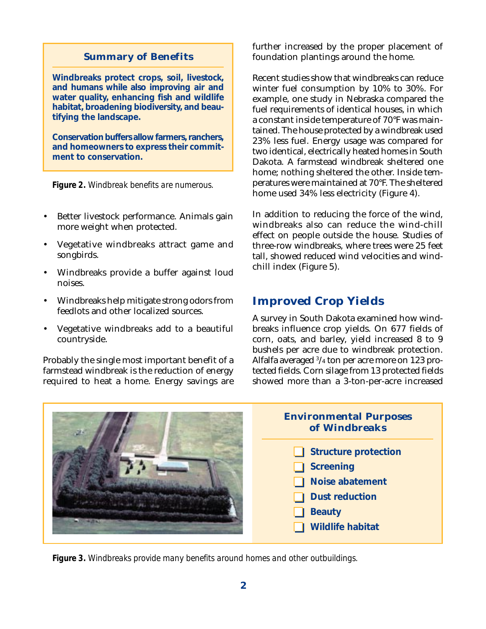#### **Summary of Benefits**

**Windbreaks protect crops, soil, livestock, and humans while also improving air and water quality, enhancing fish and wildlife habitat, broadening biodiversity, and beautifying the landscape.**

**Conservation buffers allow farmers, ranchers, and homeowners to express their commitment to conservation.**

*Figure 2. Windbreak benefits are numerous.*

- Better livestock performance. Animals gain more weight when protected.
- Vegetative windbreaks attract game and songbirds.
- Windbreaks provide a buffer against loud noises.
- Windbreaks help mitigate strong odors from feedlots and other localized sources.
- Vegetative windbreaks add to a beautiful countryside.

Probably the single most important benefit of a farmstead windbreak is the reduction of energy required to heat a home. Energy savings are further increased by the proper placement of foundation plantings around the home.

Recent studies show that windbreaks can reduce winter fuel consumption by 10% to 30%. For example, one study in Nebraska compared the fuel requirements of identical houses, in which a constant inside temperature of 70°F was maintained. The house protected by a windbreak used 23% less fuel. Energy usage was compared for two identical, electrically heated homes in South Dakota. A farmstead windbreak sheltered one home; nothing sheltered the other. Inside temperatures were maintained at 70°F. The sheltered home used 34% less electricity (Figure 4).

In addition to reducing the force of the wind, windbreaks also can reduce the wind-chill effect on people outside the house. Studies of three-row windbreaks, where trees were 25 feet tall, showed reduced wind velocities and windchill index (Figure 5).

#### **Improved Crop Yields**

A survey in South Dakota examined how windbreaks influence crop yields. On 677 fields of corn, oats, and barley, yield increased 8 to 9 bushels per acre due to windbreak protection. Alfalfa averaged 3 /4 ton per acre more on 123 protected fields. Corn silage from 13 protected fields showed more than a 3-ton-per-acre increased

**Environmental Purposes of Windbreaks Structure protection Screening Noise abatement Dust reduction Beauty Wildlife habitat**

*Figure 3. Windbreaks provide many benefits around homes and other outbuildings.*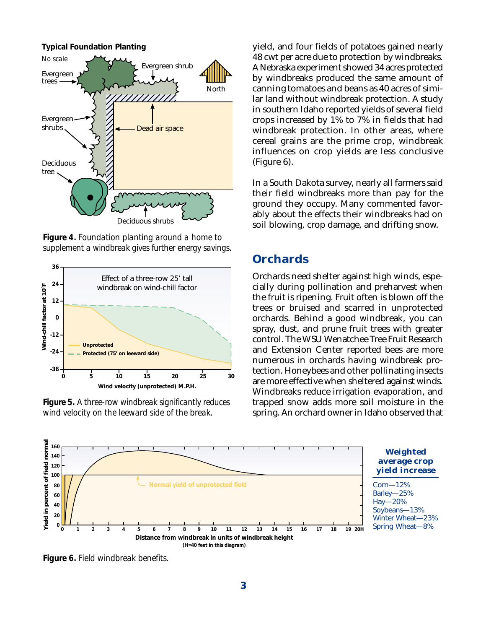

*Figure 4. Foundation planting around a home to supplement a windbreak gives further energy savings.*



*Figure 5. A three-row windbreak significantly reduces wind velocity on the leeward side of the break.*

yield, and four fields of potatoes gained nearly 48 cwt per acre due to protection by windbreaks. A Nebraska experiment showed 34 acres protected by windbreaks produced the same amount of canning tomatoes and beans as 40 acres of similar land without windbreak protection. A study in southern Idaho reported yields of several field crops increased by 1% to 7% in fields that had windbreak protection. In other areas, where cereal grains are the prime crop, windbreak influences on crop yields are less conclusive (Figure 6).

In a South Dakota survey, nearly all farmers said their field windbreaks more than pay for the ground they occupy. Many commented favorably about the effects their windbreaks had on soil blowing, crop damage, and drifting snow.

#### **Orchards**

Orchards need shelter against high winds, especially during pollination and preharvest when the fruit is ripening. Fruit often is blown off the trees or bruised and scarred in unprotected orchards. Behind a good windbreak, you can spray, dust, and prune fruit trees with greater control. The WSU Wenatchee Tree Fruit Research and Extension Center reported bees are more numerous in orchards having windbreak protection. Honeybees and other pollinating insects are more effective when sheltered against winds. Windbreaks reduce irrigation evaporation, and trapped snow adds more soil moisture in the spring. An orchard owner in Idaho observed that



*Figure 6. Field windbreak benefits.*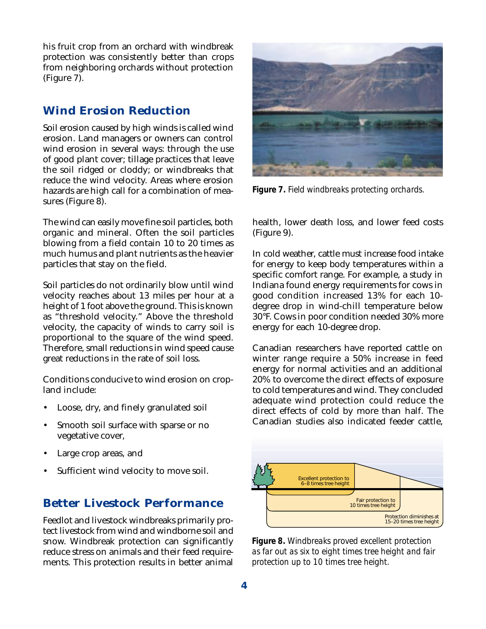his fruit crop from an orchard with windbreak protection was consistently better than crops from neighboring orchards without protection (Figure 7).

#### **Wind Erosion Reduction**

Soil erosion caused by high winds is called wind erosion. Land managers or owners can control wind erosion in several ways: through the use of good plant cover; tillage practices that leave the soil ridged or cloddy; or windbreaks that reduce the wind velocity. Areas where erosion hazards are high call for a combination of measures (Figure 8).

The wind can easily move fine soil particles, both organic and mineral. Often the soil particles blowing from a field contain 10 to 20 times as much humus and plant nutrients as the heavier particles that stay on the field.

Soil particles do not ordinarily blow until wind velocity reaches about 13 miles per hour at a height of 1 foot above the ground. This is known as "threshold velocity." Above the threshold velocity, the capacity of winds to carry soil is proportional to the square of the wind speed. Therefore, small reductions in wind speed cause great reductions in the rate of soil loss.

Conditions conducive to wind erosion on cropland include:

- Loose, dry, and finely granulated soil
- Smooth soil surface with sparse or no vegetative cover,
- Large crop areas, and
- Sufficient wind velocity to move soil.

#### **Better Livestock Performance**

Feedlot and livestock windbreaks primarily protect livestock from wind and windborne soil and snow. Windbreak protection can significantly reduce stress on animals and their feed requirements. This protection results in better animal



*Figure 7. Field windbreaks protecting orchards.*

health, lower death loss, and lower feed costs (Figure 9).

In cold weather, cattle must increase food intake for energy to keep body temperatures within a specific comfort range. For example, a study in Indiana found energy requirements for cows in good condition increased 13% for each 10 degree drop in wind-chill temperature below 30°F. Cows in poor condition needed 30% more energy for each 10-degree drop.

Canadian researchers have reported cattle on winter range require a 50% increase in feed energy for normal activities and an additional 20% to overcome the direct effects of exposure to cold temperatures and wind. They concluded adequate wind protection could reduce the direct effects of cold by more than half. The Canadian studies also indicated feeder cattle,



*Figure 8. Windbreaks proved excellent protection as far out as six to eight times tree height and fair protection up to 10 times tree height.*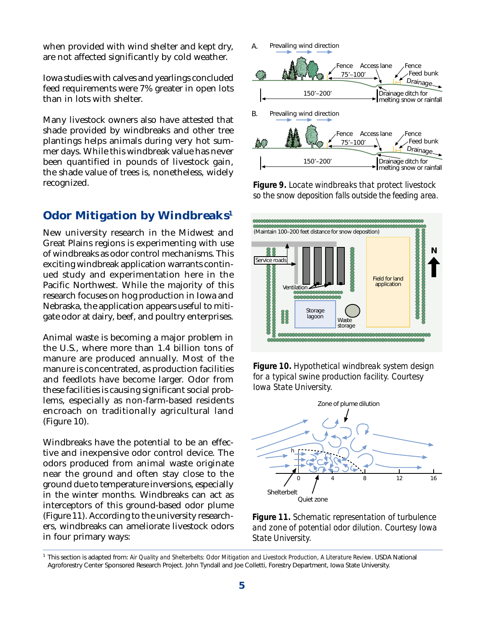when provided with wind shelter and kept dry, are not affected significantly by cold weather.

Iowa studies with calves and yearlings concluded feed requirements were 7% greater in open lots than in lots with shelter.

Many livestock owners also have attested that shade provided by windbreaks and other tree plantings helps animals during very hot summer days. While this windbreak value has never been quantified in pounds of livestock gain, the shade value of trees is, nonetheless, widely recognized.

#### **Odor Mitigation by Windbreaks1**

New university research in the Midwest and Great Plains regions is experimenting with use of windbreaks as odor control mechanisms. This exciting windbreak application warrants continued study and experimentation here in the Pacific Northwest. While the majority of this research focuses on hog production in Iowa and Nebraska, the application appears useful to mitigate odor at dairy, beef, and poultry enterprises.

Animal waste is becoming a major problem in the U.S., where more than 1.4 billion tons of manure are produced annually. Most of the manure is concentrated, as production facilities and feedlots have become larger. Odor from these facilities is causing significant social problems, especially as non-farm-based residents encroach on traditionally agricultural land (Figure 10).

Windbreaks have the potential to be an effective and inexpensive odor control device. The odors produced from animal waste originate near the ground and often stay close to the ground due to temperature inversions, especially in the winter months. Windbreaks can act as interceptors of this ground-based odor plume (Figure 11). According to the university researchers, windbreaks can ameliorate livestock odors in four primary ways:



*Figure 9. Locate windbreaks that protect livestock so the snow deposition falls outside the feeding area.*







*Figure 11. Schematic representation of turbulence and zone of potential odor dilution. Courtesy Iowa State University.*

<sup>1</sup> This section is adapted from: *Air Quality and Shelterbelts: Odor Mitigation and Livestock Production, A Literature Review*. USDA National Agroforestry Center Sponsored Research Project. John Tyndall and Joe Colletti, Forestry Department, Iowa State University.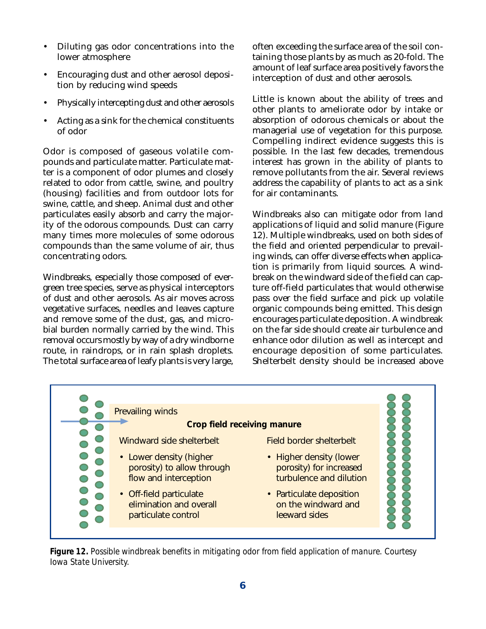- Diluting gas odor concentrations into the lower atmosphere
- Encouraging dust and other aerosol deposition by reducing wind speeds
- Physically intercepting dust and other aerosols
- Acting as a sink for the chemical constituents of odor

Odor is composed of gaseous volatile compounds and particulate matter. Particulate matter is a component of odor plumes and closely related to odor from cattle, swine, and poultry (housing) facilities and from outdoor lots for swine, cattle, and sheep. Animal dust and other particulates easily absorb and carry the majority of the odorous compounds. Dust can carry many times more molecules of some odorous compounds than the same volume of air, thus concentrating odors.

Windbreaks, especially those composed of evergreen tree species, serve as physical interceptors of dust and other aerosols. As air moves across vegetative surfaces, needles and leaves capture and remove some of the dust, gas, and microbial burden normally carried by the wind. This removal occurs mostly by way of a dry windborne route, in raindrops, or in rain splash droplets. The total surface area of leafy plants is very large,

often exceeding the surface area of the soil containing those plants by as much as 20-fold. The amount of leaf surface area positively favors the interception of dust and other aerosols.

Little is known about the ability of trees and other plants to ameliorate odor by intake or absorption of odorous chemicals or about the managerial use of vegetation for this purpose. Compelling indirect evidence suggests this is possible. In the last few decades, tremendous interest has grown in the ability of plants to remove pollutants from the air. Several reviews address the capability of plants to act as a sink for air contaminants.

Windbreaks also can mitigate odor from land applications of liquid and solid manure (Figure 12). Multiple windbreaks, used on both sides of the field and oriented perpendicular to prevailing winds, can offer diverse effects when application is primarily from liquid sources. A windbreak on the windward side of the field can capture off-field particulates that would otherwise pass over the field surface and pick up volatile organic compounds being emitted. This design encourages particulate deposition. A windbreak on the far side should create air turbulence and enhance odor dilution as well as intercept and encourage deposition of some particulates. Shelterbelt density should be increased above



*Figure 12. Possible windbreak benefits in mitigating odor from field application of manure. Courtesy Iowa State University.*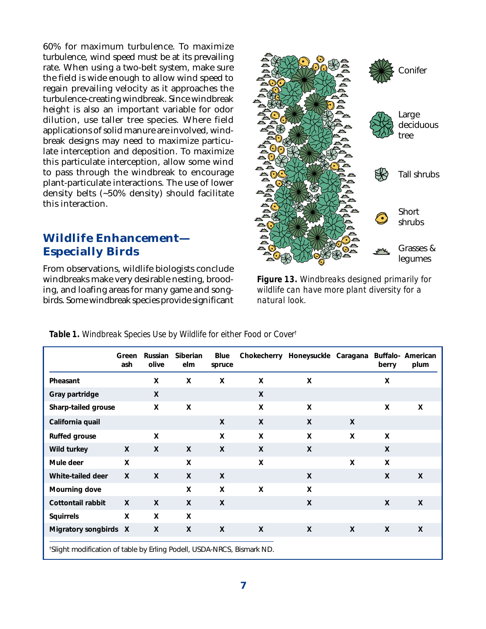60% for maximum turbulence. To maximize turbulence, wind speed must be at its prevailing rate. When using a two-belt system, make sure the field is wide enough to allow wind speed to regain prevailing velocity as it approaches the turbulence-creating windbreak. Since windbreak height is also an important variable for odor dilution, use taller tree species. Where field applications of solid manure are involved, windbreak designs may need to maximize particulate interception and deposition. To maximize this particulate interception, allow some wind to pass through the windbreak to encourage plant-particulate interactions. The use of lower density belts (~50% density) should facilitate this interaction.

#### **Wildlife Enhancement— Especially Birds**

From observations, wildlife biologists conclude windbreaks make very desirable nesting, brooding, and loafing areas for many game and songbirds. Some windbreak species provide significant



*Figure 13. Windbreaks designed primarily for wildlife can have more plant diversity for a natural look.*

|                                                                                    | Green<br>ash | Russian<br>olive | Siberian<br>elm | Blue<br>spruce | Chokecherry               | Honeysuckle Caragana |              | berry        | Buffalo- American<br>plum |
|------------------------------------------------------------------------------------|--------------|------------------|-----------------|----------------|---------------------------|----------------------|--------------|--------------|---------------------------|
| Pheasant                                                                           |              | X                | X               | X              | X                         | X                    |              | X            |                           |
| Gray partridge                                                                     |              | X                |                 |                | X                         |                      |              |              |                           |
| Sharp-tailed grouse                                                                |              | X                | X               |                | X                         | X                    |              | X            | X                         |
| California quail                                                                   |              |                  |                 | $\mathsf{x}$   | $\boldsymbol{\mathsf{X}}$ | $\mathsf{X}$         | $\mathsf{x}$ |              |                           |
| <b>Ruffed grouse</b>                                                               |              | $\mathsf{x}$     |                 | X              | X                         | X                    | X            | X            |                           |
| Wild turkey                                                                        | $\mathsf{X}$ | X                | X               | X              | X                         | X                    |              | X            |                           |
| Mule deer                                                                          | X            |                  | X               |                | X                         |                      | X            | X            |                           |
| White-tailed deer                                                                  | $\mathsf{x}$ | $\mathsf{x}$     | $\mathsf{x}$    | X              |                           | $\mathsf{X}$         |              | X            | $\mathsf{X}$              |
| Mourning dove                                                                      |              |                  | X               | X              | X                         | X                    |              |              |                           |
| Cottontail rabbit                                                                  | $\mathsf{x}$ | $\mathsf{x}$     | $\mathsf{x}$    | $\mathsf{x}$   |                           | X                    |              | $\mathsf{x}$ | X                         |
| <b>Squirrels</b>                                                                   | X            | X                | X               |                |                           |                      |              |              |                           |
| Migratory songbirds X                                                              |              | X                | X               | X              | $\mathsf{X}$              | $\mathsf{X}$         | X            | X            | X                         |
| <sup>†</sup> Slight modification of table by Erling Podell, USDA-NRCS, Bismark ND. |              |                  |                 |                |                           |                      |              |              |                           |

*Table 1. Windbreak Species Use by Wildlife for either Food or Cover†*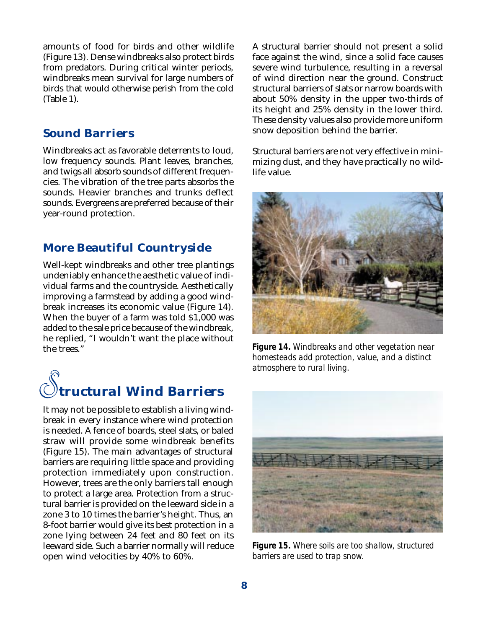amounts of food for birds and other wildlife (Figure 13). Dense windbreaks also protect birds from predators. During critical winter periods, windbreaks mean survival for large numbers of birds that would otherwise perish from the cold (Table 1).

#### **Sound Barriers**

Windbreaks act as favorable deterrents to loud, low frequency sounds. Plant leaves, branches, and twigs all absorb sounds of different frequencies. The vibration of the tree parts absorbs the sounds. Heavier branches and trunks deflect sounds. Evergreens are preferred because of their year-round protection.

#### **More Beautiful Countryside**

Well-kept windbreaks and other tree plantings undeniably enhance the aesthetic value of individual farms and the countryside. Aesthetically improving a farmstead by adding a good windbreak increases its economic value (Figure 14). When the buyer of a farm was told \$1,000 was added to the sale price because of the windbreak, he replied, "I wouldn't want the place without the trees."



It may not be possible to establish a living windbreak in every instance where wind protection is needed. A fence of boards, steel slats, or baled straw will provide some windbreak benefits (Figure 15). The main advantages of structural barriers are requiring little space and providing protection immediately upon construction. However, trees are the only barriers tall enough to protect a large area. Protection from a structural barrier is provided on the leeward side in a zone 3 to 10 times the barrier's height. Thus, an 8-foot barrier would give its best protection in a zone lying between 24 feet and 80 feet on its leeward side. Such a barrier normally will reduce open wind velocities by 40% to 60%.

A structural barrier should not present a solid face against the wind, since a solid face causes severe wind turbulence, resulting in a reversal of wind direction near the ground. Construct structural barriers of slats or narrow boards with about 50% density in the upper two-thirds of its height and 25% density in the lower third. These density values also provide more uniform snow deposition behind the barrier.

Structural barriers are not very effective in minimizing dust, and they have practically no wildlife value.



*Figure 14. Windbreaks and other vegetation near homesteads add protection, value, and a distinct atmosphere to rural living.*



*Figure 15. Where soils are too shallow, structured barriers are used to trap snow.*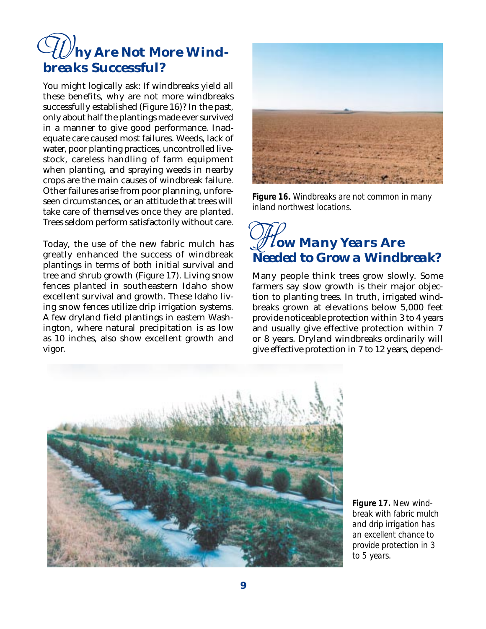## *hy Are Not More Wind-W breaks Successful?*

You might logically ask: If windbreaks yield all these benefits, why are not more windbreaks successfully established (Figure 16)? In the past, only about half the plantings made ever survived in a manner to give good performance. Inadequate care caused most failures. Weeds, lack of water, poor planting practices, uncontrolled livestock, careless handling of farm equipment when planting, and spraying weeds in nearby crops are the main causes of windbreak failure. Other failures arise from poor planning, unforeseen circumstances, or an attitude that trees will take care of themselves once they are planted. Trees seldom perform satisfactorily without care.

Today, the use of the new fabric mulch has greatly enhanced the success of windbreak plantings in terms of both initial survival and tree and shrub growth (Figure 17). Living snow fences planted in southeastern Idaho show excellent survival and growth. These Idaho living snow fences utilize drip irrigation systems. A few dryland field plantings in eastern Washington, where natural precipitation is as low as 10 inches, also show excellent growth and vigor.



*Figure 16. Windbreaks are not common in many inland northwest locations.*

## *ow Many Years Are H Needed to Grow a Windbreak?*

Many people think trees grow slowly. Some farmers say slow growth is their major objection to planting trees. In truth, irrigated windbreaks grown at elevations below 5,000 feet provide noticeable protection within 3 to 4 years and usually give effective protection within 7 or 8 years. Dryland windbreaks ordinarily will give effective protection in 7 to 12 years, depend-



*Figure 17. New windbreak with fabric mulch and drip irrigation has an excellent chance to provide protection in 3 to 5 years.*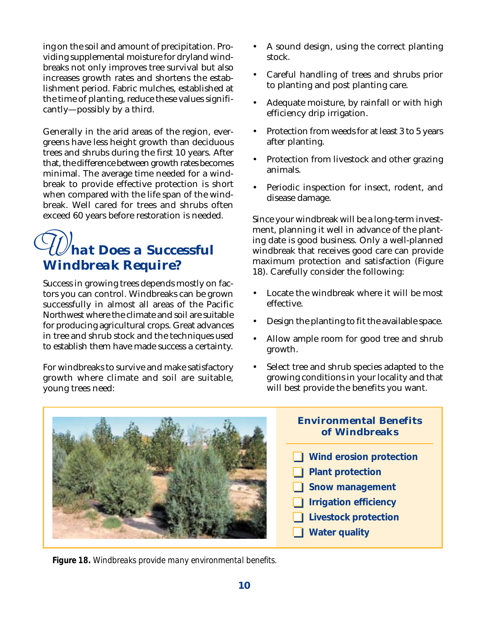ing on the soil and amount of precipitation. Providing supplemental moisture for dryland windbreaks not only improves tree survival but also increases growth rates and shortens the establishment period. Fabric mulches, established at the time of planting, reduce these values significantly—possibly by a third.

Generally in the arid areas of the region, evergreens have less height growth than deciduous trees and shrubs during the first 10 years. After that, the difference between growth rates becomes minimal. The average time needed for a windbreak to provide effective protection is short when compared with the life span of the windbreak. Well cared for trees and shrubs often exceed 60 years before restoration is needed.

#### *hat Does a Successful Windbreak Require? W*

Success in growing trees depends mostly on factors you can control. Windbreaks can be grown successfully in almost all areas of the Pacific Northwest where the climate and soil are suitable for producing agricultural crops. Great advances in tree and shrub stock and the techniques used to establish them have made success a certainty.

For windbreaks to survive and make satisfactory growth where climate and soil are suitable, young trees need:

- A sound design, using the correct planting stock.
- Careful handling of trees and shrubs prior to planting and post planting care.
- Adequate moisture, by rainfall or with high efficiency drip irrigation.
- Protection from weeds for at least 3 to 5 years after planting.
- Protection from livestock and other grazing animals.
- Periodic inspection for insect, rodent, and disease damage.

Since your windbreak will be a long-term investment, planning it well in advance of the planting date is good business. Only a well-planned windbreak that receives good care can provide maximum protection and satisfaction (Figure 18). Carefully consider the following:

- Locate the windbreak where it will be most effective.
- Design the planting to fit the available space.
- Allow ample room for good tree and shrub growth.
- Select tree and shrub species adapted to the growing conditions in your locality and that will best provide the benefits you want.



#### **Environmental Benefits of Windbreaks**

- **Wind erosion protection**
- **Plant protection**
- **Snow management**
- **I** Irrigation efficiency
- **Livestock protection**
- **Water quality**

*Figure 18. Windbreaks provide many environmental benefits.*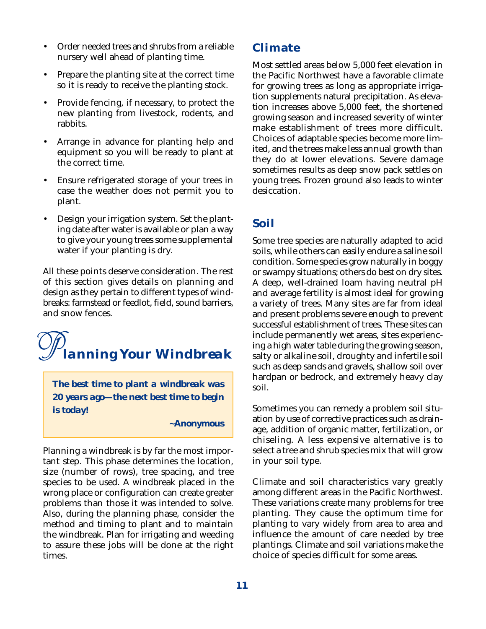- Order needed trees and shrubs from a reliable nursery well ahead of planting time.
- Prepare the planting site at the correct time so it is ready to receive the planting stock.
- Provide fencing, if necessary, to protect the new planting from livestock, rodents, and rabbits.
- Arrange in advance for planting help and equipment so you will be ready to plant at the correct time.
- Ensure refrigerated storage of your trees in case the weather does not permit you to plant.
- Design your irrigation system. Set the planting date after water is available or plan a way to give your young trees some supplemental water if your planting is dry.

All these points deserve consideration. The rest of this section gives details on planning and design as they pertain to different types of windbreaks: farmstead or feedlot, field, sound barriers, and snow fences.

### *lanning Your Windbreak P*

*The best time to plant a windbreak was 20 years ago—the next best time to begin is today!*

*~Anonymous*

Planning a windbreak is by far the most important step. This phase determines the location, size (number of rows), tree spacing, and tree species to be used. A windbreak placed in the wrong place or configuration can create greater problems than those it was intended to solve. Also, during the planning phase, consider the method and timing to plant and to maintain the windbreak. Plan for irrigating and weeding to assure these jobs will be done at the right times.

#### **Climate**

Most settled areas below 5,000 feet elevation in the Pacific Northwest have a favorable climate for growing trees as long as appropriate irrigation supplements natural precipitation. As elevation increases above 5,000 feet, the shortened growing season and increased severity of winter make establishment of trees more difficult. Choices of adaptable species become more limited, and the trees make less annual growth than they do at lower elevations. Severe damage sometimes results as deep snow pack settles on young trees. Frozen ground also leads to winter desiccation.

#### **Soil**

Some tree species are naturally adapted to acid soils, while others can easily endure a saline soil condition. Some species grow naturally in boggy or swampy situations; others do best on dry sites. A deep, well-drained loam having neutral pH and average fertility is almost ideal for growing a variety of trees. Many sites are far from ideal and present problems severe enough to prevent successful establishment of trees. These sites can include permanently wet areas, sites experiencing a high water table during the growing season, salty or alkaline soil, droughty and infertile soil such as deep sands and gravels, shallow soil over hardpan or bedrock, and extremely heavy clay soil.

Sometimes you can remedy a problem soil situation by use of corrective practices such as drainage, addition of organic matter, fertilization, or chiseling. A less expensive alternative is to select a tree and shrub species mix that will grow in your soil type.

Climate and soil characteristics vary greatly among different areas in the Pacific Northwest. These variations create many problems for tree planting. They cause the optimum time for planting to vary widely from area to area and influence the amount of care needed by tree plantings. Climate and soil variations make the choice of species difficult for some areas.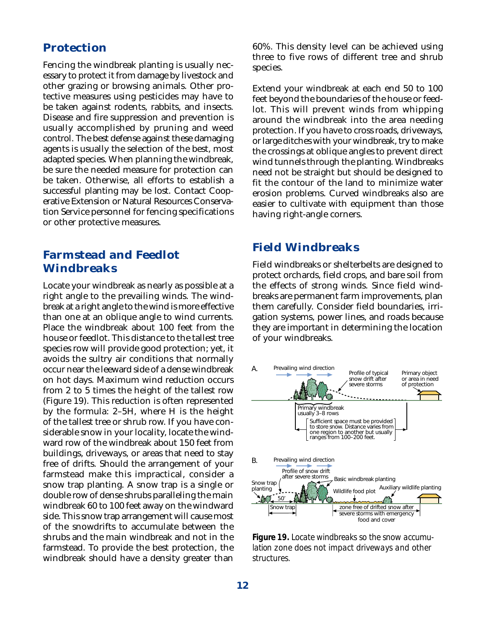#### **Protection**

Fencing the windbreak planting is usually necessary to protect it from damage by livestock and other grazing or browsing animals. Other protective measures using pesticides may have to be taken against rodents, rabbits, and insects. Disease and fire suppression and prevention is usually accomplished by pruning and weed control. The best defense against these damaging agents is usually the selection of the best, most adapted species. When planning the windbreak, be sure the needed measure for protection can be taken. Otherwise, all efforts to establish a successful planting may be lost. Contact Cooperative Extension or Natural Resources Conservation Service personnel for fencing specifications or other protective measures.

#### **Farmstead and Feedlot Windbreaks**

Locate your windbreak as nearly as possible at a right angle to the prevailing winds. The windbreak at a right angle to the wind is more effective than one at an oblique angle to wind currents. Place the windbreak about 100 feet from the house or feedlot. This distance to the tallest tree species row will provide good protection; yet, it avoids the sultry air conditions that normally occur near the leeward side of a dense windbreak on hot days. Maximum wind reduction occurs from 2 to 5 times the height of the tallest row (Figure 19). This reduction is often represented by the formula: 2–5H, where H is the height of the tallest tree or shrub row. If you have considerable snow in your locality, locate the windward row of the windbreak about 150 feet from buildings, driveways, or areas that need to stay free of drifts. Should the arrangement of your farmstead make this impractical, consider a snow trap planting. A snow trap is a single or double row of dense shrubs paralleling the main windbreak 60 to 100 feet away on the windward side. This snow trap arrangement will cause most of the snowdrifts to accumulate between the shrubs and the main windbreak and not in the farmstead. To provide the best protection, the windbreak should have a density greater than

60%. This density level can be achieved using three to five rows of different tree and shrub species.

Extend your windbreak at each end 50 to 100 feet beyond the boundaries of the house or feedlot. This will prevent winds from whipping around the windbreak into the area needing protection. If you have to cross roads, driveways, or large ditches with your windbreak, try to make the crossings at oblique angles to prevent direct wind tunnels through the planting. Windbreaks need not be straight but should be designed to fit the contour of the land to minimize water erosion problems. Curved windbreaks also are easier to cultivate with equipment than those having right-angle corners.

#### **Field Windbreaks**

Field windbreaks or shelterbelts are designed to protect orchards, field crops, and bare soil from the effects of strong winds. Since field windbreaks are permanent farm improvements, plan them carefully. Consider field boundaries, irrigation systems, power lines, and roads because they are important in determining the location of your windbreaks.



*Figure 19. Locate windbreaks so the snow accumulation zone does not impact driveways and other structures.*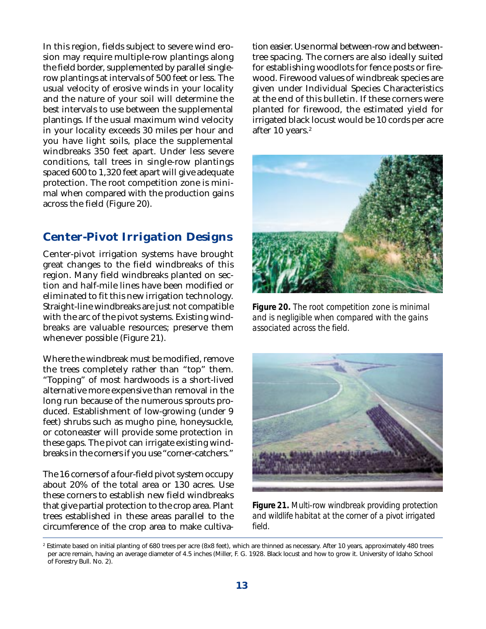In this region, fields subject to severe wind erosion may require multiple-row plantings along the field border, supplemented by parallel singlerow plantings at intervals of 500 feet or less. The usual velocity of erosive winds in your locality and the nature of your soil will determine the best intervals to use between the supplemental plantings. If the usual maximum wind velocity in your locality exceeds 30 miles per hour and you have light soils, place the supplemental windbreaks 350 feet apart. Under less severe conditions, tall trees in single-row plantings spaced 600 to 1,320 feet apart will give adequate protection. The root competition zone is minimal when compared with the production gains across the field (Figure 20).

#### **Center-Pivot Irrigation Designs**

Center-pivot irrigation systems have brought great changes to the field windbreaks of this region. Many field windbreaks planted on section and half-mile lines have been modified or eliminated to fit this new irrigation technology. Straight-line windbreaks are just not compatible with the arc of the pivot systems. Existing windbreaks are valuable resources; preserve them whenever possible (Figure 21).

Where the windbreak must be modified, remove the trees completely rather than "top" them. "Topping" of most hardwoods is a short-lived alternative more expensive than removal in the long run because of the numerous sprouts produced. Establishment of low-growing (under 9 feet) shrubs such as mugho pine, honeysuckle, or cotoneaster will provide some protection in these gaps. The pivot can irrigate existing windbreaks in the corners if you use "corner-catchers."

The 16 corners of a four-field pivot system occupy about 20% of the total area or 130 acres. Use these corners to establish new field windbreaks that give partial protection to the crop area. Plant trees established in these areas parallel to the circumference of the crop area to make cultiva-

tion easier. Use normal between-row and betweentree spacing. The corners are also ideally suited for establishing woodlots for fence posts or firewood. Firewood values of windbreak species are given under Individual Species Characteristics at the end of this bulletin. If these corners were planted for firewood, the estimated yield for irrigated black locust would be 10 cords per acre after 10 years.<sup>2</sup>



*Figure 20. The root competition zone is minimal and is negligible when compared with the gains associated across the field.*



*Figure 21. Multi-row windbreak providing protection and wildlife habitat at the corner of a pivot irrigated field.*

<sup>2</sup> Estimate based on initial planting of 680 trees per acre (8x8 feet), which are thinned as necessary. After 10 years, approximately 480 trees per acre remain, having an average diameter of 4.5 inches (Miller, F. G. 1928. Black locust and how to grow it. University of Idaho School of Forestry Bull. No. 2).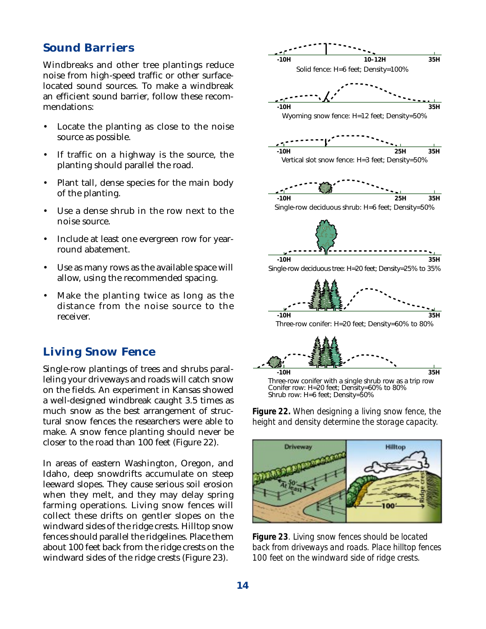#### **Sound Barriers**

Windbreaks and other tree plantings reduce noise from high-speed traffic or other surfacelocated sound sources. To make a windbreak an efficient sound barrier, follow these recommendations:

- Locate the planting as close to the noise source as possible.
- If traffic on a highway is the source, the planting should parallel the road.
- Plant tall, dense species for the main body of the planting.
- Use a dense shrub in the row next to the noise source.
- Include at least one evergreen row for yearround abatement.
- Use as many rows as the available space will allow, using the recommended spacing.
- Make the planting twice as long as the distance from the noise source to the receiver.

#### **Living Snow Fence**

Single-row plantings of trees and shrubs paralleling your driveways and roads will catch snow on the fields. An experiment in Kansas showed a well-designed windbreak caught 3.5 times as much snow as the best arrangement of structural snow fences the researchers were able to make. A snow fence planting should never be closer to the road than 100 feet (Figure 22).

In areas of eastern Washington, Oregon, and Idaho, deep snowdrifts accumulate on steep leeward slopes. They cause serious soil erosion when they melt, and they may delay spring farming operations. Living snow fences will collect these drifts on gentler slopes on the windward sides of the ridge crests. Hilltop snow fences should parallel the ridgelines. Place them about 100 feet back from the ridge crests on the windward sides of the ridge crests (Figure 23).



*Figure 22. When designing a living snow fence, the height and density determine the storage capacity.*



*Figure 23. Living snow fences should be located back from driveways and roads. Place hilltop fences 100 feet on the windward side of ridge crests.*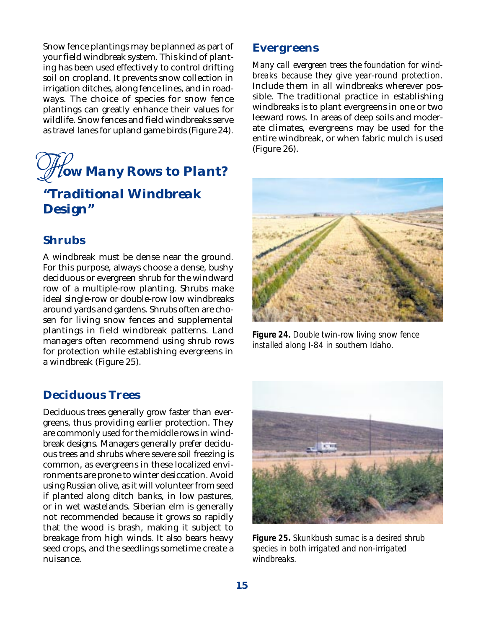Snow fence plantings may be planned as part of your field windbreak system. This kind of planting has been used effectively to control drifting soil on cropland. It prevents snow collection in irrigation ditches, along fence lines, and in roadways. The choice of species for snow fence plantings can greatly enhance their values for wildlife. Snow fences and field windbreaks serve as travel lanes for upland game birds (Figure 24).

## *ow Many Rows to Plant? H "Traditional Windbreak Design"*

#### **Shrubs**

A windbreak must be dense near the ground. For this purpose, always choose a dense, bushy deciduous or evergreen shrub for the windward row of a multiple-row planting. Shrubs make ideal single-row or double-row low windbreaks around yards and gardens. Shrubs often are chosen for living snow fences and supplemental plantings in field windbreak patterns. Land managers often recommend using shrub rows for protection while establishing evergreens in a windbreak (Figure 25).

#### **Deciduous Trees**

Deciduous trees generally grow faster than evergreens, thus providing earlier protection. They are commonly used for the middle rows in windbreak designs. Managers generally prefer deciduous trees and shrubs where severe soil freezing is common, as evergreens in these localized environments are prone to winter desiccation. Avoid using Russian olive, as it will volunteer from seed if planted along ditch banks, in low pastures, or in wet wastelands. Siberian elm is generally not recommended because it grows so rapidly that the wood is brash, making it subject to breakage from high winds. It also bears heavy seed crops, and the seedlings sometime create a nuisance.

#### **Evergreens**

*Many call evergreen trees the foundation for windbreaks because they give year-round protection.* Include them in all windbreaks wherever possible. The traditional practice in establishing windbreaks is to plant evergreens in one or two leeward rows. In areas of deep soils and moderate climates, evergreens may be used for the entire windbreak, or when fabric mulch is used (Figure 26).



*Figure 24. Double twin-row living snow fence installed along I-84 in southern Idaho.*



*Figure 25. Skunkbush sumac is a desired shrub species in both irrigated and non-irrigated windbreaks.*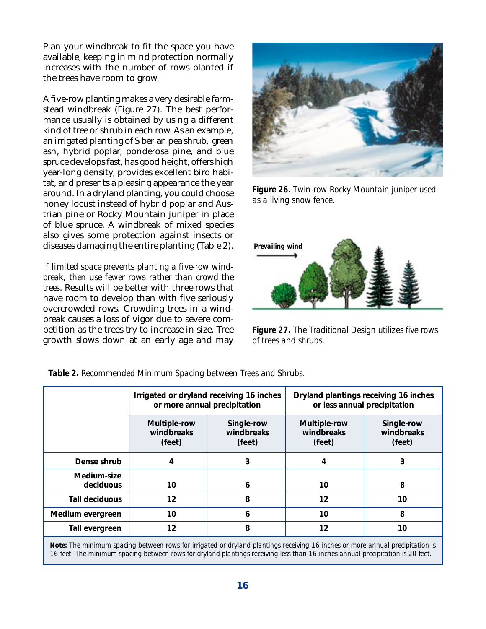Plan your windbreak to fit the space you have available, keeping in mind protection normally increases with the number of rows planted if the trees have room to grow.

A five-row planting makes a very desirable farmstead windbreak (Figure 27). The best performance usually is obtained by using a different kind of tree or shrub in each row. As an example, an irrigated planting of Siberian pea shrub, green ash, hybrid poplar, ponderosa pine, and blue spruce develops fast, has good height, offers high year-long density, provides excellent bird habitat, and presents a pleasing appearance the year around. In a dryland planting, you could choose honey locust instead of hybrid poplar and Austrian pine or Rocky Mountain juniper in place of blue spruce. A windbreak of mixed species also gives some protection against insects or diseases damaging the entire planting (Table 2).

*If limited space prevents planting a five-row windbreak, then use fewer rows rather than crowd the trees*. Results will be better with three rows that have room to develop than with five seriously overcrowded rows. Crowding trees in a windbreak causes a loss of vigor due to severe competition as the trees try to increase in size. Tree growth slows down at an early age and may



*Figure 26. Twin-row Rocky Mountain juniper used as a living snow fence.*



*Figure 27. The Traditional Design utilizes five rows of trees and shrubs.*

|                          |                                      | Irrigated or dryland receiving 16 inches<br>or more annual precipitation |                                      | Dryland plantings receiving 16 inches<br>or less annual precipitation |
|--------------------------|--------------------------------------|--------------------------------------------------------------------------|--------------------------------------|-----------------------------------------------------------------------|
|                          | Multiple-row<br>windbreaks<br>(feet) | Single-row<br>windbreaks<br>(feet)                                       | Multiple-row<br>windbreaks<br>(feet) | Single-row<br>windbreaks<br>(feet)                                    |
| Dense shrub              | 4                                    | 3                                                                        | 4                                    | 3                                                                     |
| Medium-size<br>deciduous | 10                                   | 6                                                                        | 10                                   | 8                                                                     |
| Tall deciduous           | 12                                   | 8                                                                        | 12                                   | 10                                                                    |
| Medium evergreen         | 10                                   | 6                                                                        | 10                                   | 8                                                                     |
| Tall evergreen           | 12                                   | 8                                                                        | 12                                   | 10                                                                    |

*Table 2. Recommended Minimum Spacing between Trees and Shrubs.*

*Note: The minimum spacing between rows for irrigated or dryland plantings receiving 16 inches or more annual precipitation is 16 feet. The minimum spacing between rows for dryland plantings receiving less than 16 inches annual precipitation is 20 feet.*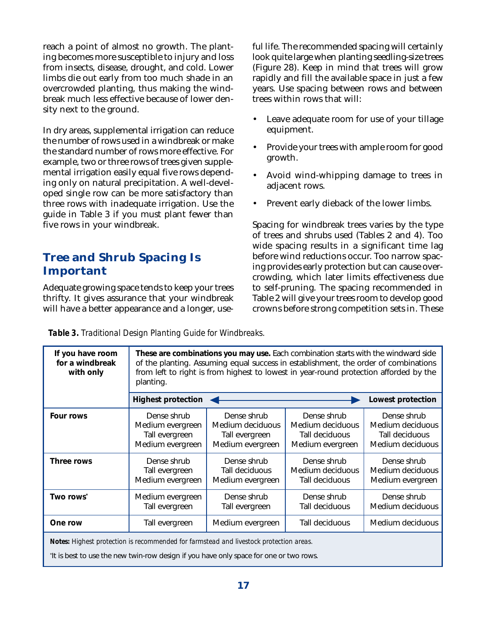reach a point of almost no growth. The planting becomes more susceptible to injury and loss from insects, disease, drought, and cold. Lower limbs die out early from too much shade in an overcrowded planting, thus making the windbreak much less effective because of lower density next to the ground.

In dry areas, supplemental irrigation can reduce the number of rows used in a windbreak or make the standard number of rows more effective. For example, two or three rows of trees given supplemental irrigation easily equal five rows depending only on natural precipitation. A well-developed single row can be more satisfactory than three rows with inadequate irrigation. Use the guide in Table 3 if you must plant fewer than five rows in your windbreak.

#### **Tree and Shrub Spacing Is Important**

Adequate growing space tends to keep your trees thrifty. It gives assurance that your windbreak will have a better appearance and a longer, useful life. The recommended spacing will certainly look quite large when planting seedling-size trees (Figure 28). Keep in mind that trees will grow rapidly and fill the available space in just a few years. Use spacing between rows and between trees within rows that will:

- Leave adequate room for use of your tillage equipment.
- Provide your trees with ample room for good growth.
- Avoid wind-whipping damage to trees in adjacent rows.
- Prevent early dieback of the lower limbs.

Spacing for windbreak trees varies by the type of trees and shrubs used (Tables 2 and 4). Too wide spacing results in a significant time lag before wind reductions occur. Too narrow spacing provides early protection but can cause overcrowding, which later limits effectiveness due to self-pruning. The spacing recommended in Table 2 will give your trees room to develop good crowns before strong competition sets in. These

| If you have room<br>for a windbreak<br>with only                                       | planting.                                                             | These are combinations you may use. Each combination starts with the windward side<br>of the planting. Assuming equal success in establishment, the order of combinations<br>from left to right is from highest to lowest in year-round protection afforded by the |                                                                       |                                                                       |
|----------------------------------------------------------------------------------------|-----------------------------------------------------------------------|--------------------------------------------------------------------------------------------------------------------------------------------------------------------------------------------------------------------------------------------------------------------|-----------------------------------------------------------------------|-----------------------------------------------------------------------|
|                                                                                        | <b>Highest protection</b>                                             |                                                                                                                                                                                                                                                                    |                                                                       | Lowest protection                                                     |
| Four rows                                                                              | Dense shrub<br>Medium evergreen<br>Tall evergreen<br>Medium evergreen | Dense shrub<br>Medium deciduous<br>Tall evergreen<br>Medium evergreen                                                                                                                                                                                              | Dense shrub<br>Medium deciduous<br>Tall deciduous<br>Medium evergreen | Dense shrub<br>Medium deciduous<br>Tall deciduous<br>Medium deciduous |
| Three rows                                                                             | Dense shrub<br>Tall evergreen<br>Medium evergreen                     | Dense shrub<br>Tall deciduous<br>Medium evergreen                                                                                                                                                                                                                  | Dense shrub<br>Medium deciduous<br>Tall deciduous                     | Dense shrub<br>Medium deciduous<br>Medium evergreen                   |
| Two rows <sup>*</sup>                                                                  | Medium evergreen<br>Tall evergreen                                    | Dense shrub<br>Tall evergreen                                                                                                                                                                                                                                      | Dense shrub<br>Tall deciduous                                         | Dense shrub<br>Medium deciduous                                       |
| One row                                                                                | Tall evergreen                                                        | Medium evergreen                                                                                                                                                                                                                                                   | Tall deciduous                                                        | Medium deciduous                                                      |
| Notes: Highest protection is recommended for farmstead and livestock protection areas. |                                                                       |                                                                                                                                                                                                                                                                    |                                                                       |                                                                       |

*Table 3. Traditional Design Planting Guide for Windbreaks.*

It is best to use the new twin-row design if you have only space for one or two rows.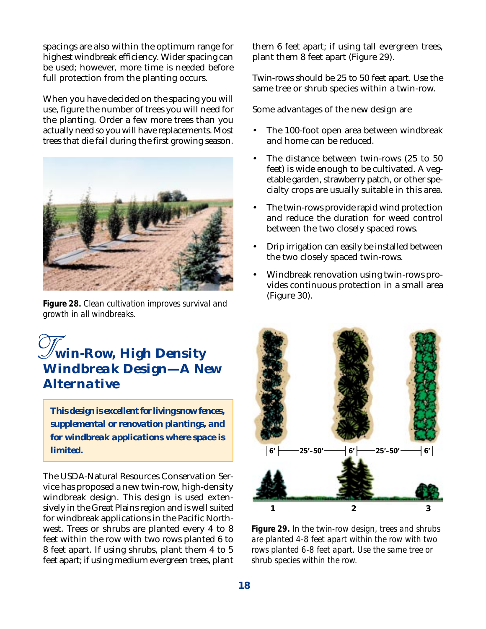spacings are also within the optimum range for highest windbreak efficiency. Wider spacing can be used; however, more time is needed before full protection from the planting occurs.

When you have decided on the spacing you will use, figure the number of trees you will need for the planting. Order a few more trees than you actually need so you will have replacements. Most trees that die fail during the first growing season.



(Figure 30). *Figure 28. Clean cultivation improves survival and growth in all windbreaks.*

## *win-Row, High Density T Windbreak Design—A New Alternative*

*This design is excellent for living snow fences, supplemental or renovation plantings, and for windbreak applications where space is limited.*

The USDA-Natural Resources Conservation Service has proposed a new twin-row, high-density windbreak design. This design is used extensively in the Great Plains region and is well suited for windbreak applications in the Pacific Northwest. Trees or shrubs are planted every 4 to 8 feet within the row with two rows planted 6 to 8 feet apart. If using shrubs, plant them 4 to 5 feet apart; if using medium evergreen trees, plant them 6 feet apart; if using tall evergreen trees, plant them 8 feet apart (Figure 29).

Twin-rows should be 25 to 50 feet apart. Use the same tree or shrub species within a twin-row.

Some advantages of the new design are

- The 100-foot open area between windbreak and home can be reduced.
- The distance between twin-rows (25 to 50) feet) is wide enough to be cultivated. A vegetable garden, strawberry patch, or other specialty crops are usually suitable in this area.
- The twin-rows provide rapid wind protection and reduce the duration for weed control between the two closely spaced rows.
- Drip irrigation can easily be installed between the two closely spaced twin-rows.
- Windbreak renovation using twin-rows provides continuous protection in a small area



*Figure 29. In the twin-row design, trees and shrubs are planted 4-8 feet apart within the row with two rows planted 6-8 feet apart. Use the same tree or shrub species within the row.*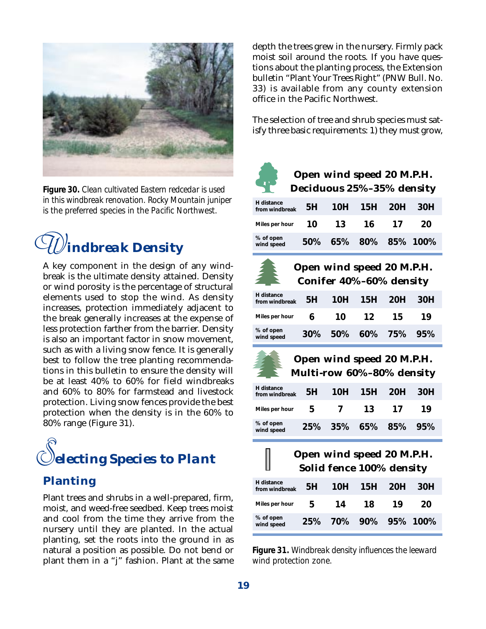

*Figure 30. Clean cultivated Eastern redcedar is used in this windbreak renovation. Rocky Mountain juniper is the preferred species in the Pacific Northwest.*



A key component in the design of any windbreak is the ultimate density attained. Density or wind porosity is the percentage of structural elements used to stop the wind. As density increases, protection immediately adjacent to the break generally increases at the expense of less protection farther from the barrier. Density is also an important factor in snow movement, such as with a living snow fence. It is generally best to follow the tree planting recommendations in this bulletin to ensure the density will be at least 40% to 60% for field windbreaks and 60% to 80% for farmstead and livestock protection. Living snow fences provide the best protection when the density is in the 60% to 80% range (Figure 31).



#### **Planting**

Plant trees and shrubs in a well-prepared, firm, moist, and weed-free seedbed. Keep trees moist and cool from the time they arrive from the nursery until they are planted. In the actual planting, set the roots into the ground in as natural a position as possible. Do not bend or plant them in a "j" fashion. Plant at the same depth the trees grew in the nursery. Firmly pack moist soil around the roots. If you have questions about the planting process, the Extension bulletin "Plant Your Trees Right" (PNW Bull. No. 33) is available from any county extension office in the Pacific Northwest.

The selection of tree and shrub species must satisfy three basic requirements: 1) they must grow,



#### **Open wind speed 20 M.P.H. Deciduous 25%–35% density**

| H distance<br>from windbreak | 5H |     | 10H 15H 20H          |    | 30H |
|------------------------------|----|-----|----------------------|----|-----|
| Miles per hour               | 10 | -13 | -16                  | 17 | 20  |
| % of open<br>wind speed      |    |     | 50% 65% 80% 85% 100% |    |     |



#### **Open wind speed 20 M.P.H. Conifer 40%–60% density**

| H distance<br>from windbreak |    |      | 5H 10H 15H 20H      |      | - 30H |
|------------------------------|----|------|---------------------|------|-------|
| Miles per hour               | 6. | - 10 | 12                  | - 15 | 19    |
| % of open<br>wind speed      |    |      | 30% 50% 60% 75% 95% |      |       |



**Open wind speed 20 M.P.H. Multi-row 60%–80% density**

| H distance<br>from windbreak |   | 5H 10H 15H 20H      |      |      | 30H |
|------------------------------|---|---------------------|------|------|-----|
| Miles per hour               | 5 | $\overline{ }$      | - 13 | - 17 | 19  |
| % of open<br>wind speed      |   | 25% 35% 65% 85% 95% |      |      |     |



| H distance<br>from windbreak | 5H  | 10H | 15H -            | 20H | 30H |
|------------------------------|-----|-----|------------------|-----|-----|
| Miles per hour               | 5   | 14  | 18               | 19  | 20  |
| % of open<br>wind speed      | 25% |     | 70% 90% 95% 100% |     |     |

*Figure 31. Windbreak density influences the leeward wind protection zone.*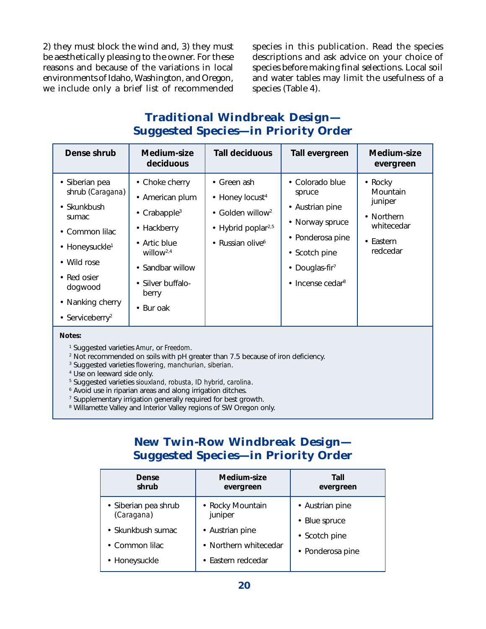2) they must block the wind and, 3) they must be aesthetically pleasing to the owner. For these reasons and because of the variations in local environments of Idaho, Washington, and Oregon, we include only a brief list of recommended

species in this publication. Read the species descriptions and ask advice on your choice of species before making final selections. Local soil and water tables may limit the usefulness of a species (Table 4).

#### **Traditional Windbreak Design— Suggested Species—in Priority Order**

| Dense shrub                                                                                                                                                                                                  | Medium-size<br>deciduous                                                                                                                                                             | <b>Tall deciduous</b>                                                                                                                          | Tall evergreen                                                                                                                                                           | Medium-size<br>evergreen                                                            |
|--------------------------------------------------------------------------------------------------------------------------------------------------------------------------------------------------------------|--------------------------------------------------------------------------------------------------------------------------------------------------------------------------------------|------------------------------------------------------------------------------------------------------------------------------------------------|--------------------------------------------------------------------------------------------------------------------------------------------------------------------------|-------------------------------------------------------------------------------------|
| • Siberian pea<br>shrub (Caragana)<br>$\cdot$ Skunkbush<br>sumac<br>• Common lilac<br>• Honeysuckle <sup>1</sup><br>• Wild rose<br>• Red osier<br>dogwood<br>• Nanking cherry<br>• Serviceberry <sup>2</sup> | • Choke cherry<br>• American plum<br>• Crabapple <sup>3</sup><br>• Hackberry<br>• Artic blue<br>willow <sup>2,4</sup><br>• Sandbar willow<br>• Silver buffalo-<br>berry<br>• Bur oak | • Green ash<br>• Honey locust <sup>4</sup><br>Golden willow <sup>2</sup><br>$\bullet$<br>• Hybrid poplar <sup>2,5</sup><br>• Russian olive $6$ | • Colorado blue<br>spruce<br>• Austrian pine<br>• Norway spruce<br>• Ponderosa pine<br>• Scotch pine<br>• Douglas-fir <sup>7</sup><br>$\cdot$ Incense cedar <sup>8</sup> | • Rocky<br>Mountain<br>juniper<br>• Northern<br>whitecedar<br>• Eastern<br>redcedar |
| Notes:                                                                                                                                                                                                       |                                                                                                                                                                                      |                                                                                                                                                |                                                                                                                                                                          |                                                                                     |

1 Suggested varieties *Amur*, or *Freedom*.

2 Not recommended on soils with pH greater than 7.5 because of iron deficiency.

3 Suggested varieties *flowering, manchurian, siberian*.

4 Use on leeward side only.

5 Suggested varieties *siouxland, robusta, ID hybrid, carolina*.

6 Avoid use in riparian areas and along irrigation ditches.

7 Supplementary irrigation generally required for best growth.

<sup>8</sup> Willamette Valley and Interior Valley regions of SW Oregon only.

#### **New Twin-Row Windbreak Design— Suggested Species—in Priority Order**

| Dense<br>shrub                     | Medium-size<br>evergreen    | Tall<br>evergreen |
|------------------------------------|-----------------------------|-------------------|
| • Siberian pea shrub<br>(Caragana) | • Rocky Mountain<br>juniper | • Austrian pine   |
|                                    |                             | • Blue spruce     |
| • Skunkbush sumac                  | • Austrian pine             | • Scotch pine     |
| • Common lilac                     | • Northern whitecedar       | • Ponderosa pine  |
| • Honeysuckle                      | • Eastern redcedar          |                   |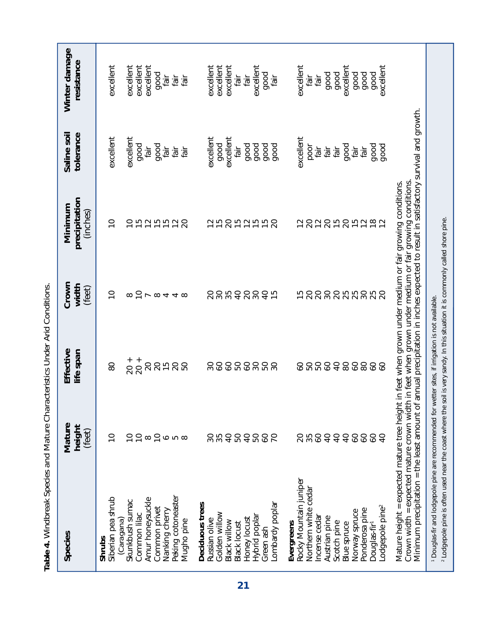| Species                                                                                                                                    | Mature<br>height<br>(feet) | Effective<br>life span | Crown<br>width<br>(feet)  | precipitation<br>Minimum<br>(inches)                                                                                                                  | Saline soil<br>tolerance | Winter damage<br>resistance |
|--------------------------------------------------------------------------------------------------------------------------------------------|----------------------------|------------------------|---------------------------|-------------------------------------------------------------------------------------------------------------------------------------------------------|--------------------------|-----------------------------|
| Siberian pea shrub<br>Shrubs                                                                                                               | $\widetilde{\phantom{a}}$  | 80                     | $\widetilde{\phantom{a}}$ | $\widetilde{\phantom{a}}$                                                                                                                             | excellent                | excellent                   |
| Skunkbush sumac<br>Caragana)                                                                                                               | S                          | $20 +$                 | 8                         | $\widetilde{C}$                                                                                                                                       | excellent                | excellent                   |
| Common lilac                                                                                                                               | $\overline{C}$             | $20 +$                 | $\overline{C}$            |                                                                                                                                                       | good                     | excellent                   |
| Amur honeysuckle                                                                                                                           | $\infty$                   | 20                     | $\overline{\phantom{a}}$  |                                                                                                                                                       | fair                     | excellent                   |
| Common privet                                                                                                                              | $\overline{C}$             | $\overline{20}$        | $\infty$                  | ちわちおわ                                                                                                                                                 | good                     | good                        |
| Nanking cherry                                                                                                                             |                            | $\frac{5}{1}$          |                           |                                                                                                                                                       | fair                     | fair                        |
| Peking cotoneaster<br>Mugho pine                                                                                                           | $\circ$ $\circ$ $\circ$    | $\overline{c}$<br>50   | 440                       | 20                                                                                                                                                    | fair<br>fair             | ile3<br>fair                |
| Deciduous trees                                                                                                                            |                            |                        |                           |                                                                                                                                                       |                          |                             |
| Russian olive                                                                                                                              |                            | SO                     | $\Omega$                  | 51                                                                                                                                                    | excellent                | excellent                   |
| Golden willow                                                                                                                              |                            | SO                     |                           | $\overline{1}$                                                                                                                                        | good                     | excellent                   |
| Black willow                                                                                                                               | 35 <sub>0</sub>            | $\delta$               | 888                       | $\overline{c}$                                                                                                                                        | excellent                | excellent                   |
| <b>Black locust</b>                                                                                                                        | 50                         | 50                     |                           | 5255                                                                                                                                                  | fair                     | fair                        |
| Honey locust                                                                                                                               | $\overline{a}$             | $\delta$               | $\overline{c}$            |                                                                                                                                                       | good                     | fair                        |
| Hybrid poplar                                                                                                                              | 50                         | $\overline{30}$        | $30\,$                    |                                                                                                                                                       | good                     | excellent                   |
| Green ash                                                                                                                                  | SO                         | 50                     | $\overline{a}$            |                                                                                                                                                       | good                     | good                        |
| Lombardy poplar                                                                                                                            | S                          | $\overline{30}$        | 5                         | $\overline{c}$                                                                                                                                        | good                     | tāir                        |
| Evergreens                                                                                                                                 |                            |                        |                           |                                                                                                                                                       |                          |                             |
| Rocky Mountain juniper                                                                                                                     |                            | SO                     | 15                        | $\overline{c}$                                                                                                                                        | excellent                | excellent                   |
| Northern white cedar                                                                                                                       | 35                         | 50                     | $\overline{c}$            | 20                                                                                                                                                    | poor                     | fair                        |
| Incense cedar                                                                                                                              | $\delta$                   | 50                     | $\overline{c}$            | $\overline{12}$                                                                                                                                       | fair                     | tair                        |
| Austrian pine                                                                                                                              | $\overline{4}$             | $\delta$               | $\overline{30}$           | $\overline{c}$                                                                                                                                        | fair                     | good                        |
| Scotch pine                                                                                                                                | $\overline{4}$             | $\overline{4}$         | $\overline{c}$            | 15 <sub>0</sub>                                                                                                                                       | fair                     | good                        |
| <b>Blue spruce</b>                                                                                                                         | $\overline{4}$             | 80                     | 25                        |                                                                                                                                                       | good                     | excellent                   |
| Norway spruce                                                                                                                              | 99                         | $\mathcal{S}$          | 25                        | 15282                                                                                                                                                 | fair                     | good                        |
| Ponderosa pine                                                                                                                             | SO                         | 80                     |                           |                                                                                                                                                       | fair                     | good                        |
| Douglas-fir <sup>1</sup>                                                                                                                   | SO                         | $\infty$               | 25                        |                                                                                                                                                       | good                     | good                        |
| Lodgepole pine <sup>2</sup>                                                                                                                | S<br>4                     | SO                     |                           |                                                                                                                                                       | good                     | excellent                   |
| Crown width = expected mature crown width<br>Mature height = expected mature tree height                                                   |                            |                        |                           | in feet when grown under medium or fair growing conditions.                                                                                           |                          |                             |
| Minimum precipitation = the least amount of                                                                                                |                            |                        |                           | annual precipitation in inches expected to result in satisfactory survival and growth.<br>in feet when grown under medium or fair growing conditions. |                          |                             |
| <sup>1</sup> Douglas-fir and lodgepole pine are recommended for wetter sites, if irrigation is not available.                              |                            |                        |                           |                                                                                                                                                       |                          |                             |
| <sup>2</sup> Lodgepole pine is often used near the coast where the soil is very sandy. In this situation it is commonly called shore pine. |                            |                        |                           |                                                                                                                                                       |                          |                             |

Table 4. Windbreak Species and Mature Characteristics Under Arid Conditions. *Table 4. Windbreak Species and Mature Characteristics Under Arid Conditions.*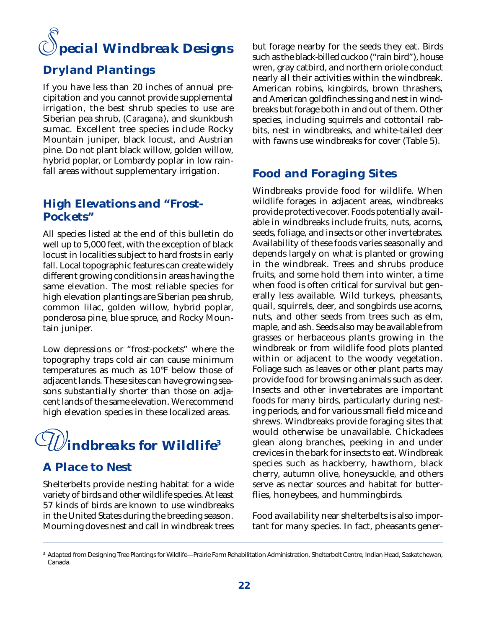#### *pecial Windbreak Designs S*

#### **Dryland Plantings**

If you have less than 20 inches of annual precipitation and you cannot provide supplemental irrigation, the best shrub species to use are Siberian pea shrub, (*Caragana*), and skunkbush sumac. Excellent tree species include Rocky Mountain juniper, black locust, and Austrian pine. Do not plant black willow, golden willow, hybrid poplar, or Lombardy poplar in low rainfall areas without supplementary irrigation.

#### **High Elevations and "Frost-Pockets"**

All species listed at the end of this bulletin do well up to 5,000 feet, with the exception of black locust in localities subject to hard frosts in early fall. Local topographic features can create widely different growing conditions in areas having the same elevation. The most reliable species for high elevation plantings are Siberian pea shrub, common lilac, golden willow, hybrid poplar, ponderosa pine, blue spruce, and Rocky Mountain juniper.

Low depressions or "frost-pockets" where the topography traps cold air can cause minimum temperatures as much as 10°F below those of adjacent lands. These sites can have growing seasons substantially shorter than those on adjacent lands of the same elevation. We recommend high elevation species in these localized areas.



#### **A Place to Nest**

Shelterbelts provide nesting habitat for a wide variety of birds and other wildlife species. At least 57 kinds of birds are known to use windbreaks in the United States during the breeding season. Mourning doves nest and call in windbreak trees

but forage nearby for the seeds they eat. Birds such as the black-billed cuckoo ("rain bird"), house wren, gray catbird, and northern oriole conduct nearly all their activities within the windbreak. American robins, kingbirds, brown thrashers, and American goldfinches sing and nest in windbreaks but forage both in and out of them. Other species, including squirrels and cottontail rabbits, nest in windbreaks, and white-tailed deer with fawns use windbreaks for cover (Table 5).

#### **Food and Foraging Sites**

Windbreaks provide food for wildlife. When wildlife forages in adjacent areas, windbreaks provide protective cover. Foods potentially available in windbreaks include fruits, nuts, acorns, seeds, foliage, and insects or other invertebrates. Availability of these foods varies seasonally and depends largely on what is planted or growing in the windbreak. Trees and shrubs produce fruits, and some hold them into winter, a time when food is often critical for survival but generally less available. Wild turkeys, pheasants, quail, squirrels, deer, and songbirds use acorns, nuts, and other seeds from trees such as elm, maple, and ash. Seeds also may be available from grasses or herbaceous plants growing in the windbreak or from wildlife food plots planted within or adjacent to the woody vegetation. Foliage such as leaves or other plant parts may provide food for browsing animals such as deer. Insects and other invertebrates are important foods for many birds, particularly during nesting periods, and for various small field mice and shrews. Windbreaks provide foraging sites that would otherwise be unavailable. Chickadees glean along branches, peeking in and under crevices in the bark for insects to eat. Windbreak species such as hackberry, hawthorn, black cherry, autumn olive, honeysuckle, and others serve as nectar sources and habitat for butterflies, honeybees, and hummingbirds.

Food availability near shelterbelts is also important for many species. In fact, pheasants gener-

<sup>&</sup>lt;sup>3</sup> Adapted from Designing Tree Plantings for Wildlife—Prairie Farm Rehabilitation Administration, Shelterbelt Centre, Indian Head, Saskatchewan, Canada.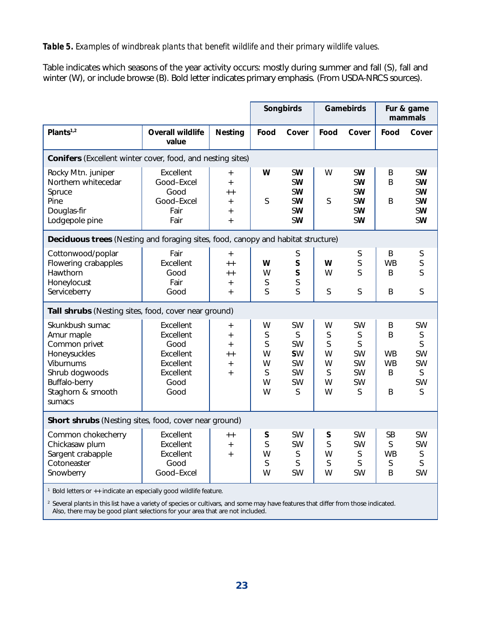Table indicates which seasons of the year activity occurs: mostly during summer and fall (S), fall and winter (W), or include browse (B). Bold letter indicates primary emphasis. (From USDA-NRCS sources).

|                                                                                                                                               |                                                                                       |                                                                 | Songbirds                            |                                                                               | Gamebirds                            |                                                              | Fur & game<br>mammals                      |                                                                                                      |
|-----------------------------------------------------------------------------------------------------------------------------------------------|---------------------------------------------------------------------------------------|-----------------------------------------------------------------|--------------------------------------|-------------------------------------------------------------------------------|--------------------------------------|--------------------------------------------------------------|--------------------------------------------|------------------------------------------------------------------------------------------------------|
| Plants $1,2$                                                                                                                                  | <b>Overall wildlife</b><br>value                                                      | Nesting                                                         | Food                                 | Cover                                                                         | Food                                 | Cover                                                        | Food                                       | Cover                                                                                                |
| <b>Conifers</b> (Excellent winter cover, food, and nesting sites)                                                                             |                                                                                       |                                                                 |                                      |                                                                               |                                      |                                                              |                                            |                                                                                                      |
| Rocky Mtn. juniper<br>Northern whitecedar<br>Spruce<br>Pine<br>Douglas-fir<br>Lodgepole pine                                                  | Excellent<br>Good-Excel<br>Good<br>Good-Excel<br>Fair<br>Fair                         | $\ddot{}$<br>$\ddot{}$<br>$++$<br>$+$<br>$\ddot{}$<br>$\ddot{}$ | W<br>S                               | <b>SW</b><br><b>SW</b><br><b>SW</b><br><b>SW</b><br><b>SW</b><br><b>SW</b>    | W<br>S                               | <b>SW</b><br><b>SW</b><br><b>SW</b><br><b>SW</b><br>SW<br>SW | B<br>B<br>B                                | <b>SW</b><br><b>SW</b><br><b>SW</b><br><b>SW</b><br><b>SW</b><br>SW                                  |
| Deciduous trees (Nesting and foraging sites, food, canopy and habitat structure)                                                              |                                                                                       |                                                                 |                                      |                                                                               |                                      |                                                              |                                            |                                                                                                      |
| Cottonwood/poplar<br>Flowering crabapples<br>Hawthorn<br>Honeylocust<br>Serviceberry                                                          | Fair<br>Excellent<br>Good<br>Fair<br>Good                                             | $+$<br>$++$<br>$+ +$<br>$\ddot{}$<br>$\ddot{}$                  | W<br>W<br>S<br>S                     | S<br>$\mathsf{S}$<br>S<br>S<br>S                                              | W<br>W<br>S                          | S<br>S<br>S<br>$\mathsf S$                                   | B<br><b>WB</b><br>B<br>B                   | S<br>$\mathsf S$<br>$\mathsf{S}$<br>$\mathsf S$                                                      |
| Tall shrubs (Nesting sites, food, cover near ground)                                                                                          |                                                                                       |                                                                 |                                      |                                                                               |                                      |                                                              |                                            |                                                                                                      |
| Skunkbush sumac<br>Amur maple<br>Common privet<br>Honeysuckles<br>Viburnums<br>Shrub dogwoods<br>Buffalo-berry<br>Staghorn & smooth<br>sumacs | Excellent<br>Excellent<br>Good<br>Excellent<br>Excellent<br>Excellent<br>Good<br>Good | $+$<br>$\ddot{}$<br>$\ddot{}$<br>$+ +$<br>$+$<br>$\ddot{+}$     | W<br>S<br>S<br>W<br>W<br>S<br>W<br>W | <b>SW</b><br>S<br><b>SW</b><br><b>SW</b><br><b>SW</b><br><b>SW</b><br>SW<br>S | W<br>S<br>S<br>W<br>W<br>S<br>W<br>W | SW<br>S<br>S<br>SW<br>SW<br>SW<br>SW<br>S                    | B<br>B<br><b>WB</b><br><b>WB</b><br>B<br>B | <b>SW</b><br>$\mathsf S$<br>$\mathsf{S}$<br><b>SW</b><br><b>SW</b><br>$\mathsf{S}$<br><b>SW</b><br>S |
| Short shrubs (Nesting sites, food, cover near ground)                                                                                         |                                                                                       |                                                                 |                                      |                                                                               |                                      |                                                              |                                            |                                                                                                      |
| Common chokecherry<br>Chickasaw plum<br>Sargent crabapple<br>Cotoneaster<br>Snowberry                                                         | Excellent<br>Excellent<br>Excellent<br>Good<br>Good-Excel                             | $++$<br>$+$<br>$\ddot{}$                                        | S<br>S<br>W<br>S<br>W                | <b>SW</b><br>SW<br>S<br>S<br>SW                                               | S<br>S<br>W<br>S<br>W                | <b>SW</b><br>SW<br>S<br>S<br><b>SW</b>                       | <b>SB</b><br>S<br><b>WB</b><br>S<br>B      | <b>SW</b><br><b>SW</b><br>$\mathsf S$<br>$\mathsf S$<br><b>SW</b>                                    |

<sup>1</sup> Bold letters or ++ indicate an especially good wildlife feature.

 $^2$  Several plants in this list have a variety of species or cultivars, and some may have features that differ from those indicated. Also, there may be good plant selections for your area that are not included.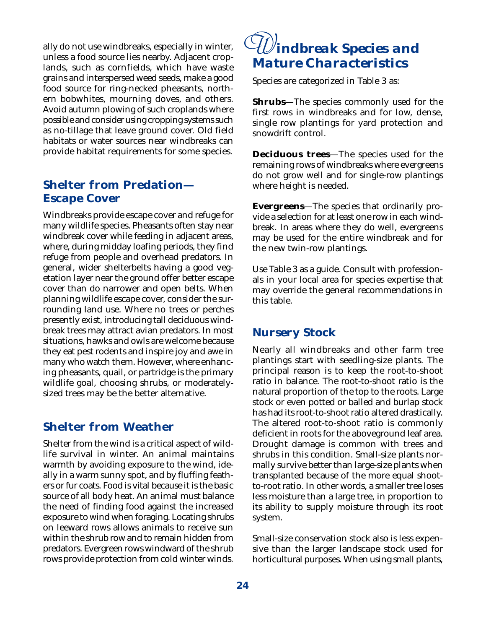ally do not use windbreaks, especially in winter, unless a food source lies nearby. Adjacent croplands, such as cornfields, which have waste grains and interspersed weed seeds, make a good food source for ring-necked pheasants, northern bobwhites, mourning doves, and others. Avoid autumn plowing of such croplands where possible and consider using cropping systems such as no-tillage that leave ground cover. Old field habitats or water sources near windbreaks can provide habitat requirements for some species.

#### **Shelter from Predation— Escape Cover**

Windbreaks provide escape cover and refuge for many wildlife species. Pheasants often stay near windbreak cover while feeding in adjacent areas, where, during midday loafing periods, they find refuge from people and overhead predators. In general, wider shelterbelts having a good vegetation layer near the ground offer better escape cover than do narrower and open belts. When planning wildlife escape cover, consider the surrounding land use. Where no trees or perches presently exist, introducing tall deciduous windbreak trees may attract avian predators. In most situations, hawks and owls are welcome because they eat pest rodents and inspire joy and awe in many who watch them. However, where enhancing pheasants, quail, or partridge is the primary wildlife goal, choosing shrubs, or moderatelysized trees may be the better alternative.

#### **Shelter from Weather**

Shelter from the wind is a critical aspect of wildlife survival in winter. An animal maintains warmth by avoiding exposure to the wind, ideally in a warm sunny spot, and by fluffing feathers or fur coats. Food is vital because it is the basic source of all body heat. An animal must balance the need of finding food against the increased exposure to wind when foraging. Locating shrubs on leeward rows allows animals to receive sun within the shrub row and to remain hidden from predators. Evergreen rows windward of the shrub rows provide protection from cold winter winds.

## *indbreak Species and W Mature Characteristics*

Species are categorized in Table 3 as:

**Shrubs**—The species commonly used for the first rows in windbreaks and for low, dense, single row plantings for yard protection and snowdrift control.

**Deciduous trees**—The species used for the remaining rows of windbreaks where evergreens do not grow well and for single-row plantings where height is needed.

**Evergreens**—The species that ordinarily provide a selection for at least one row in each windbreak. In areas where they do well, evergreens may be used for the entire windbreak and for the new twin-row plantings.

Use Table 3 as a guide. Consult with professionals in your local area for species expertise that may override the general recommendations in this table.

#### **Nursery Stock**

Nearly all windbreaks and other farm tree plantings start with seedling-size plants. The principal reason is to keep the root-to-shoot ratio in balance. The root-to-shoot ratio is the natural proportion of the top to the roots. Large stock or even potted or balled and burlap stock has had its root-to-shoot ratio altered drastically. The altered root-to-shoot ratio is commonly deficient in roots for the aboveground leaf area. Drought damage is common with trees and shrubs in this condition. Small-size plants normally survive better than large-size plants when transplanted because of the more equal shootto-root ratio. In other words, a smaller tree loses less moisture than a large tree, in proportion to its ability to supply moisture through its root system.

Small-size conservation stock also is less expensive than the larger landscape stock used for horticultural purposes. When using small plants,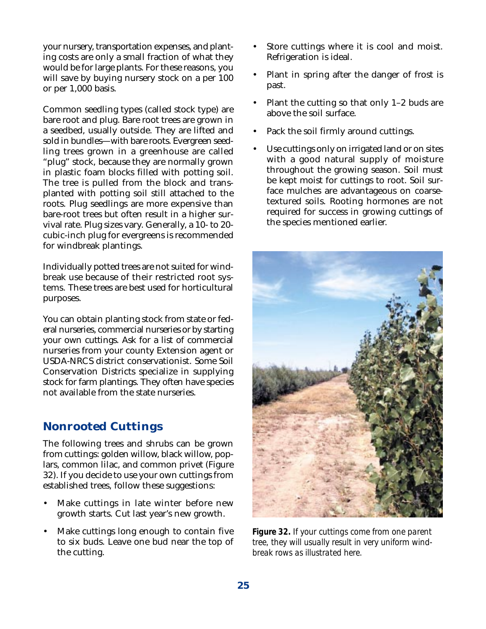your nursery, transportation expenses, and planting costs are only a small fraction of what they would be for large plants. For these reasons, you will save by buying nursery stock on a per 100 or per 1,000 basis.

Common seedling types (called stock type) are bare root and plug. Bare root trees are grown in a seedbed, usually outside. They are lifted and sold in bundles—with bare roots. Evergreen seedling trees grown in a greenhouse are called "plug" stock, because they are normally grown in plastic foam blocks filled with potting soil. The tree is pulled from the block and transplanted with potting soil still attached to the roots. Plug seedlings are more expensive than bare-root trees but often result in a higher survival rate. Plug sizes vary. Generally, a 10- to 20 cubic-inch plug for evergreens is recommended for windbreak plantings.

Individually potted trees are not suited for windbreak use because of their restricted root systems. These trees are best used for horticultural purposes.

You can obtain planting stock from state or federal nurseries, commercial nurseries or by starting your own cuttings. Ask for a list of commercial nurseries from your county Extension agent or USDA-NRCS district conservationist. Some Soil Conservation Districts specialize in supplying stock for farm plantings. They often have species not available from the state nurseries.

#### **Nonrooted Cuttings**

The following trees and shrubs can be grown from cuttings: golden willow, black willow, poplars, common lilac, and common privet (Figure 32). If you decide to use your own cuttings from established trees, follow these suggestions:

- Make cuttings in late winter before new growth starts. Cut last year's new growth.
- Make cuttings long enough to contain five to six buds. Leave one bud near the top of the cutting.
- Store cuttings where it is cool and moist. Refrigeration is ideal.
- Plant in spring after the danger of frost is past.
- Plant the cutting so that only 1–2 buds are above the soil surface.
- Pack the soil firmly around cuttings.
- Use cuttings only on irrigated land or on sites with a good natural supply of moisture throughout the growing season. Soil must be kept moist for cuttings to root. Soil surface mulches are advantageous on coarsetextured soils. Rooting hormones are not required for success in growing cuttings of the species mentioned earlier.



*Figure 32. If your cuttings come from one parent tree, they will usually result in very uniform windbreak rows as illustrated here.*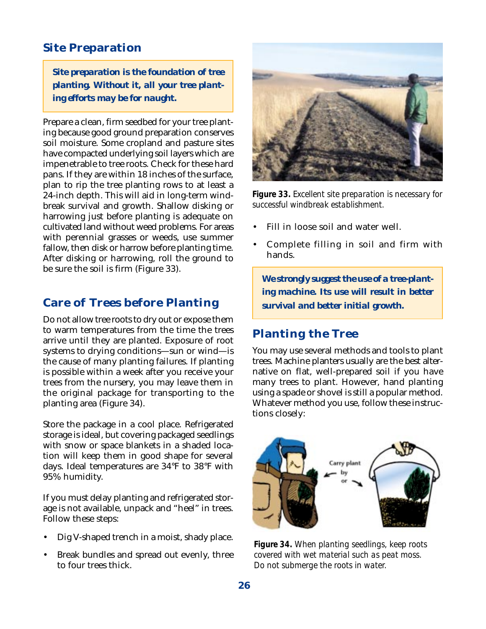#### **Site Preparation**

*Site preparation is the foundation of tree planting. Without it, all your tree planting efforts may be for naught.*

Prepare a clean, firm seedbed for your tree planting because good ground preparation conserves soil moisture. Some cropland and pasture sites have compacted underlying soil layers which are impenetrable to tree roots. Check for these hard pans. If they are within 18 inches of the surface, plan to rip the tree planting rows to at least a 24-inch depth. This will aid in long-term windbreak survival and growth. Shallow disking or harrowing just before planting is adequate on cultivated land without weed problems. For areas with perennial grasses or weeds, use summer fallow, then disk or harrow before planting time. After disking or harrowing, roll the ground to be sure the soil is firm (Figure 33).

#### **Care of Trees before Planting**

Do not allow tree roots to dry out or expose them to warm temperatures from the time the trees arrive until they are planted. Exposure of root systems to drying conditions—sun or wind—is the cause of many planting failures. If planting is possible within a week after you receive your trees from the nursery, you may leave them in the original package for transporting to the planting area (Figure 34).

Store the package in a cool place. Refrigerated storage is ideal, but covering packaged seedlings with snow or space blankets in a shaded location will keep them in good shape for several days. Ideal temperatures are 34°F to 38°F with 95% humidity.

If you must delay planting and refrigerated storage is not available, unpack and "heel" in trees. Follow these steps:

- Dig V-shaped trench in a moist, shady place.
- Break bundles and spread out evenly, three to four trees thick.



*Figure 33. Excellent site preparation is necessary for successful windbreak establishment.*

- Fill in loose soil and water well.
- Complete filling in soil and firm with hands.

*We strongly suggest the use of a tree-planting machine. Its use will result in better survival and better initial growth.*

#### **Planting the Tree**

You may use several methods and tools to plant trees. Machine planters usually are the best alternative on flat, well-prepared soil if you have many trees to plant. However, hand planting using a spade or shovel is still a popular method. Whatever method you use, follow these instructions closely:



*Figure 34. When planting seedlings, keep roots covered with wet material such as peat moss. Do not submerge the roots in water.*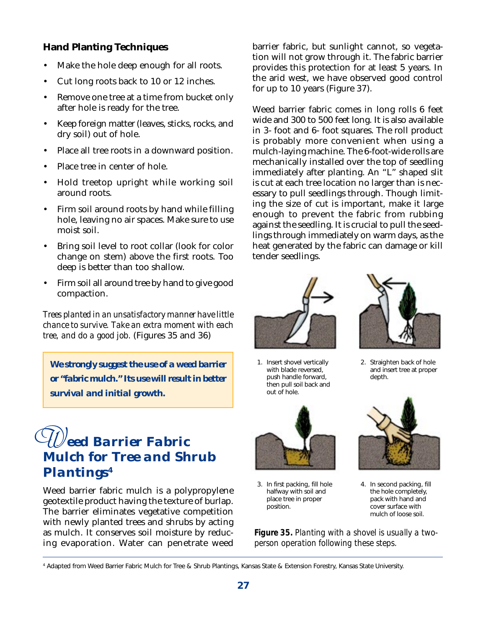#### **Hand Planting Techniques**

- Make the hole deep enough for all roots.
- Cut long roots back to 10 or 12 inches.
- Remove one tree at a time from bucket only after hole is ready for the tree.
- Keep foreign matter (leaves, sticks, rocks, and dry soil) out of hole.
- Place all tree roots in a downward position.
- Place tree in center of hole.
- Hold treetop upright while working soil around roots.
- Firm soil around roots by hand while filling hole, leaving no air spaces. Make sure to use moist soil.
- Bring soil level to root collar (look for color change on stem) above the first roots. Too deep is better than too shallow.
- Firm soil all around tree by hand to give good compaction.

*Trees planted in an unsatisfactory manner have little chance to survive. Take an extra moment with each tree, and do a good job.* (Figures 35 and 36)

*We strongly suggest the use of a weed barrier or "fabric mulch." Its use will result in better survival and initial growth.*

### *W eed Barrier Fabric Mulch for Tree and Shrub Plantings4*

Weed barrier fabric mulch is a polypropylene geotextile product having the texture of burlap. The barrier eliminates vegetative competition with newly planted trees and shrubs by acting as mulch. It conserves soil moisture by reducing evaporation. Water can penetrate weed barrier fabric, but sunlight cannot, so vegetation will not grow through it. The fabric barrier provides this protection for at least 5 years. In the arid west, we have observed good control for up to 10 years (Figure 37).

Weed barrier fabric comes in long rolls 6 feet wide and 300 to 500 feet long. It is also available in 3- foot and 6- foot squares. The roll product is probably more convenient when using a mulch-laying machine. The 6-foot-wide rolls are mechanically installed over the top of seedling immediately after planting. An "L" shaped slit is cut at each tree location no larger than is necessary to pull seedlings through. Though limiting the size of cut is important, make it large enough to prevent the fabric from rubbing against the seedling. It is crucial to pull the seedlings through immediately on warm days, as the heat generated by the fabric can damage or kill tender seedlings.



1. Insert shovel vertically with blade reversed, push handle forward, then pull soil back and out of hole.



3. In first packing, fill hole halfway with soil and place tree in proper position.



2. Straighten back of hole and insert tree at proper depth.



4. In second packing, fill the hole completely, pack with hand and cover surface with mulch of loose soil.

*Figure 35. Planting with a shovel is usually a twoperson operation following these steps.*

4 Adapted from Weed Barrier Fabric Mulch for Tree & Shrub Plantings, Kansas State & Extension Forestry, Kansas State University.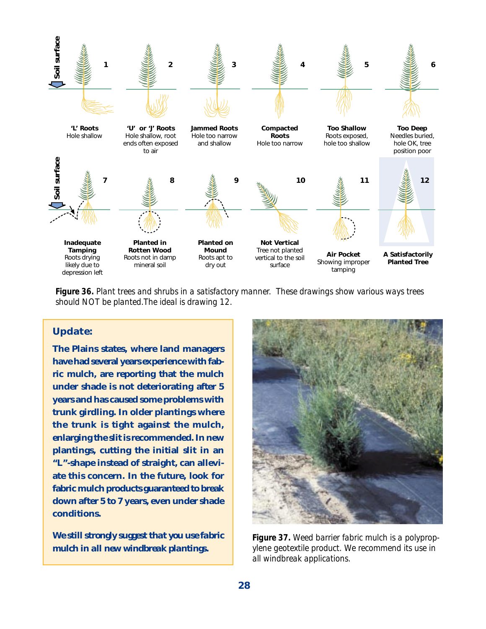

*Figure 36. Plant trees and shrubs in a satisfactory manner. These drawings show various ways trees should NOT be planted.The ideal is drawing 12.*

#### **Update:**

**The Plains states, where land managers have had several years experience with fabric mulch, are reporting that the mulch under shade is not deteriorating after 5 years and has caused some problems with trunk girdling. In older plantings where the trunk is tight against the mulch, enlarging the slit is recommended. In new plantings, cutting the initial slit in an "L"-shape instead of straight, can alleviate this concern. In the future, look for fabric mulch products guaranteed to break down after 5 to 7 years, even under shade conditions.**

*We still strongly suggest that you use fabric mulch in all new windbreak plantings.*



*Figure 37. Weed barrier fabric mulch is a polypropylene geotextile product. We recommend its use in all windbreak applications.*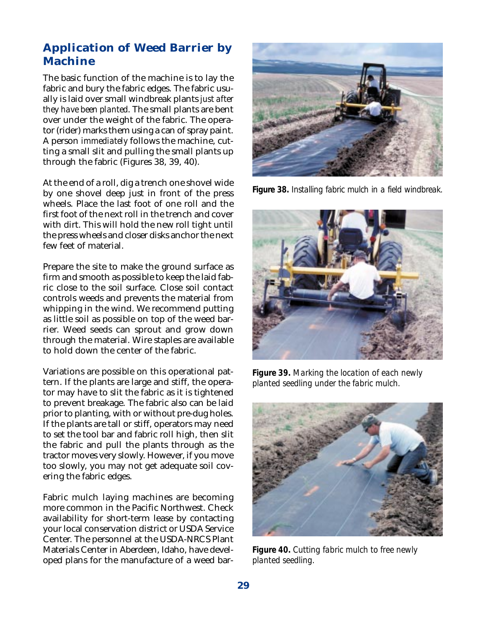#### **Application of Weed Barrier by Machine**

The basic function of the machine is to lay the fabric and bury the fabric edges. The fabric usually is laid over small windbreak plants *just after they have been planted*. The small plants are bent over under the weight of the fabric. The operator (rider) marks them using a can of spray paint. A person *immediately* follows the machine, cutting a small slit and pulling the small plants up through the fabric (Figures 38, 39, 40).

At the end of a roll, dig a trench one shovel wide by one shovel deep just in front of the press wheels. Place the last foot of one roll and the first foot of the next roll in the trench and cover with dirt. This will hold the new roll tight until the press wheels and closer disks anchor the next few feet of material.

Prepare the site to make the ground surface as firm and smooth as possible to keep the laid fabric close to the soil surface. Close soil contact controls weeds and prevents the material from whipping in the wind. We recommend putting as little soil as possible on top of the weed barrier. Weed seeds can sprout and grow down through the material. Wire staples are available to hold down the center of the fabric.

Variations are possible on this operational pattern. If the plants are large and stiff, the operator may have to slit the fabric as it is tightened to prevent breakage. The fabric also can be laid prior to planting, with or without pre-dug holes. If the plants are tall or stiff, operators may need to set the tool bar and fabric roll high, then slit the fabric and pull the plants through as the tractor moves very slowly. However, if you move too slowly, you may not get adequate soil covering the fabric edges.

Fabric mulch laying machines are becoming more common in the Pacific Northwest. Check availability for short-term lease by contacting your local conservation district or USDA Service Center. The personnel at the USDA-NRCS Plant Materials Center in Aberdeen, Idaho, have developed plans for the manufacture of a weed bar-



*Figure 38. Installing fabric mulch in a field windbreak.*



*Figure 39. Marking the location of each newly planted seedling under the fabric mulch.*



*Figure 40. Cutting fabric mulch to free newly planted seedling.*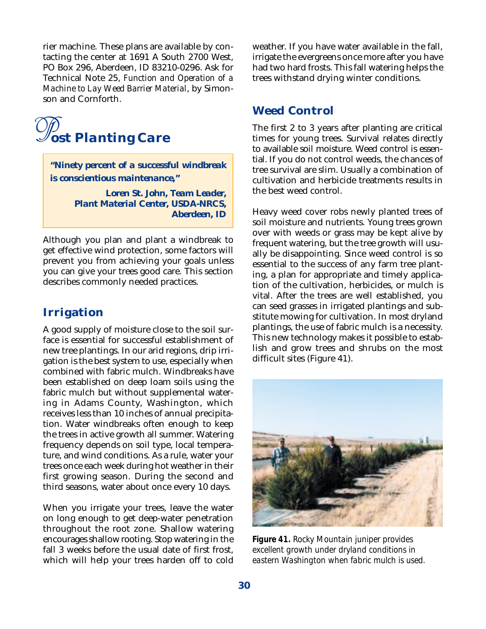rier machine. These plans are available by contacting the center at 1691 A South 2700 West, PO Box 296, Aberdeen, ID 83210-0296. Ask for Technical Note 25, *Function and Operation of a Machine to Lay Weed Barrier Material*, by Simonson and Cornforth.



*"Ninety percent of a successful windbreak is conscientious maintenance,"*

> *Loren St. John, Team Leader, Plant Material Center, USDA-NRCS, Aberdeen, ID*

Although you plan and plant a windbreak to get effective wind protection, some factors will prevent you from achieving your goals unless you can give your trees good care. This section describes commonly needed practices.

#### **Irrigation**

A good supply of moisture close to the soil surface is essential for successful establishment of new tree plantings. In our arid regions, drip irrigation is the best system to use, especially when combined with fabric mulch. Windbreaks have been established on deep loam soils using the fabric mulch but without supplemental watering in Adams County, Washington, which receives less than 10 inches of annual precipitation. Water windbreaks often enough to keep the trees in active growth all summer. Watering frequency depends on soil type, local temperature, and wind conditions. As a rule, water your trees once each week during hot weather in their first growing season. During the second and third seasons, water about once every 10 days.

When you irrigate your trees, leave the water on long enough to get deep-water penetration throughout the root zone. Shallow watering encourages shallow rooting. Stop watering in the fall 3 weeks before the usual date of first frost, which will help your trees harden off to cold

weather. If you have water available in the fall, irrigate the evergreens once more after you have had two hard frosts. This fall watering helps the trees withstand drying winter conditions.

#### **Weed Control**

The first 2 to 3 years after planting are critical times for young trees. Survival relates directly to available soil moisture. Weed control is essential. If you do not control weeds, the chances of tree survival are slim. Usually a combination of cultivation and herbicide treatments results in the best weed control.

Heavy weed cover robs newly planted trees of soil moisture and nutrients. Young trees grown over with weeds or grass may be kept alive by frequent watering, but the tree growth will usually be disappointing. Since weed control is so essential to the success of any farm tree planting, a plan for appropriate and timely application of the cultivation, herbicides, or mulch is vital. After the trees are well established, you can seed grasses in irrigated plantings and substitute mowing for cultivation. In most dryland plantings, the use of fabric mulch is a necessity. This new technology makes it possible to establish and grow trees and shrubs on the most difficult sites (Figure 41).



*Figure 41. Rocky Mountain juniper provides excellent growth under dryland conditions in eastern Washington when fabric mulch is used.*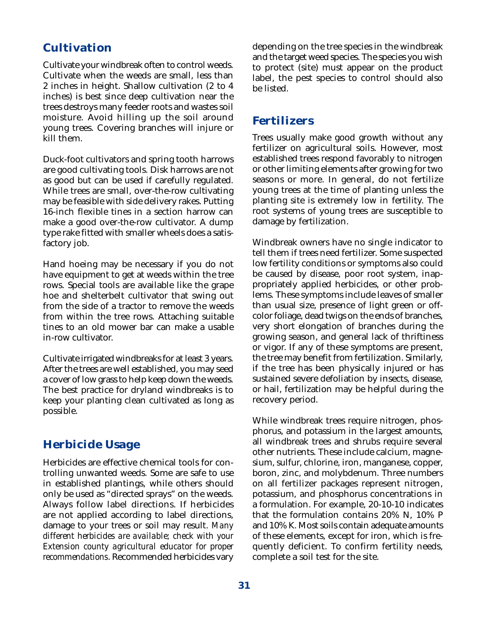#### **Cultivation**

Cultivate your windbreak often to control weeds. Cultivate when the weeds are small, less than 2 inches in height. Shallow cultivation (2 to 4 inches) is best since deep cultivation near the trees destroys many feeder roots and wastes soil moisture. Avoid hilling up the soil around young trees. Covering branches will injure or kill them.

Duck-foot cultivators and spring tooth harrows are good cultivating tools. Disk harrows are not as good but can be used if carefully regulated. While trees are small, over-the-row cultivating may be feasible with side delivery rakes. Putting 16-inch flexible tines in a section harrow can make a good over-the-row cultivator. A dump type rake fitted with smaller wheels does a satisfactory job.

Hand hoeing may be necessary if you do not have equipment to get at weeds within the tree rows. Special tools are available like the grape hoe and shelterbelt cultivator that swing out from the side of a tractor to remove the weeds from within the tree rows. Attaching suitable tines to an old mower bar can make a usable in-row cultivator.

Cultivate irrigated windbreaks for at least 3 years. After the trees are well established, you may seed a cover of low grass to help keep down the weeds. The best practice for dryland windbreaks is to keep your planting clean cultivated as long as possible.

#### **Herbicide Usage**

Herbicides are effective chemical tools for controlling unwanted weeds. Some are safe to use in established plantings, while others should only be used as "directed sprays" on the weeds. Always follow label directions. If herbicides are not applied according to label directions, damage to your trees or soil may result. *Many different herbicides are available; check with your Extension county agricultural educator for proper recommendations*. Recommended herbicides vary

depending on the tree species in the windbreak and the target weed species. The species you wish to protect (site) must appear on the product label, the pest species to control should also be listed.

#### **Fertilizers**

Trees usually make good growth without any fertilizer on agricultural soils. However, most established trees respond favorably to nitrogen or other limiting elements after growing for two seasons or more. In general, do not fertilize young trees at the time of planting unless the planting site is extremely low in fertility. The root systems of young trees are susceptible to damage by fertilization.

Windbreak owners have no single indicator to tell them if trees need fertilizer. Some suspected low fertility conditions or symptoms also could be caused by disease, poor root system, inappropriately applied herbicides, or other problems. These symptoms include leaves of smaller than usual size, presence of light green or offcolor foliage, dead twigs on the ends of branches, very short elongation of branches during the growing season, and general lack of thriftiness or vigor. If any of these symptoms are present, the tree may benefit from fertilization. Similarly, if the tree has been physically injured or has sustained severe defoliation by insects, disease, or hail, fertilization may be helpful during the recovery period.

While windbreak trees require nitrogen, phosphorus, and potassium in the largest amounts, all windbreak trees and shrubs require several other nutrients. These include calcium, magnesium, sulfur, chlorine, iron, manganese, copper, boron, zinc, and molybdenum. Three numbers on all fertilizer packages represent nitrogen, potassium, and phosphorus concentrations in a formulation. For example, 20-10-10 indicates that the formulation contains 20% N, 10% P and 10% K. Most soils contain adequate amounts of these elements, except for iron, which is frequently deficient. To confirm fertility needs, complete a soil test for the site.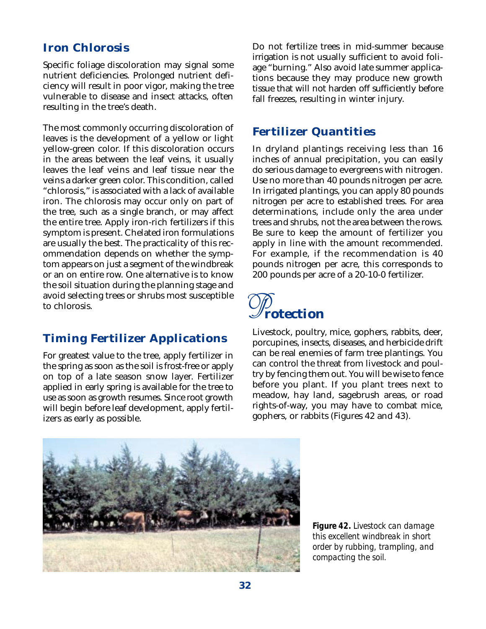#### **Iron Chlorosis**

Specific foliage discoloration may signal some nutrient deficiencies. Prolonged nutrient deficiency will result in poor vigor, making the tree vulnerable to disease and insect attacks, often resulting in the tree's death.

The most commonly occurring discoloration of leaves is the development of a yellow or light yellow-green color. If this discoloration occurs in the areas between the leaf veins, it usually leaves the leaf veins and leaf tissue near the veins a darker green color. This condition, called "chlorosis," is associated with a lack of available iron. The chlorosis may occur only on part of the tree, such as a single branch, or may affect the entire tree. Apply iron-rich fertilizers if this symptom is present. Chelated iron formulations are usually the best. The practicality of this recommendation depends on whether the symptom appears on just a segment of the windbreak or an on entire row. One alternative is to know the soil situation during the planning stage and avoid selecting trees or shrubs most susceptible to chlorosis.

#### **Timing Fertilizer Applications**

For greatest value to the tree, apply fertilizer in the spring as soon as the soil is frost-free or apply on top of a late season snow layer. Fertilizer applied in early spring is available for the tree to use as soon as growth resumes. Since root growth will begin before leaf development, apply fertilizers as early as possible.

Do not fertilize trees in mid-summer because irrigation is not usually sufficient to avoid foliage "burning." Also avoid late summer applications because they may produce new growth tissue that will not harden off sufficiently before fall freezes, resulting in winter injury.

#### **Fertilizer Quantities**

In dryland plantings receiving less than 16 inches of annual precipitation, you can easily do serious damage to evergreens with nitrogen. Use no more than 40 pounds nitrogen per acre. In irrigated plantings, you can apply 80 pounds nitrogen per acre to established trees. For area determinations, include only the area under trees and shrubs, not the area between the rows. Be sure to keep the amount of fertilizer you apply in line with the amount recommended. For example, if the recommendation is 40 pounds nitrogen per acre, this corresponds to 200 pounds per acre of a 20-10-0 fertilizer.



Livestock, poultry, mice, gophers, rabbits, deer, porcupines, insects, diseases, and herbicide drift can be real enemies of farm tree plantings. You can control the threat from livestock and poultry by fencing them out. You will be wise to fence before you plant. If you plant trees next to meadow, hay land, sagebrush areas, or road rights-of-way, you may have to combat mice, gophers, or rabbits (Figures 42 and 43).



*Figure 42. Livestock can damage this excellent windbreak in short order by rubbing, trampling, and compacting the soil.*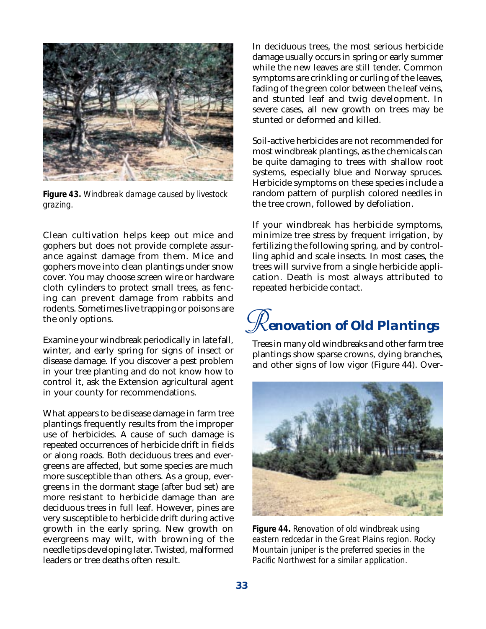

*Figure 43. Windbreak damage caused by livestock grazing.*

Clean cultivation helps keep out mice and gophers but does not provide complete assurance against damage from them. Mice and gophers move into clean plantings under snow cover. You may choose screen wire or hardware cloth cylinders to protect small trees, as fencing can prevent damage from rabbits and rodents. Sometimes live trapping or poisons are the only options.

Examine your windbreak periodically in late fall, winter, and early spring for signs of insect or disease damage. If you discover a pest problem in your tree planting and do not know how to control it, ask the Extension agricultural agent in your county for recommendations.

What appears to be disease damage in farm tree plantings frequently results from the improper use of herbicides. A cause of such damage is repeated occurrences of herbicide drift in fields or along roads. Both deciduous trees and evergreens are affected, but some species are much more susceptible than others. As a group, evergreens in the dormant stage (after bud set) are more resistant to herbicide damage than are deciduous trees in full leaf. However, pines are very susceptible to herbicide drift during active growth in the early spring. New growth on evergreens may wilt, with browning of the needle tips developing later. Twisted, malformed leaders or tree deaths often result.

In deciduous trees, the most serious herbicide damage usually occurs in spring or early summer while the new leaves are still tender. Common symptoms are crinkling or curling of the leaves, fading of the green color between the leaf veins, and stunted leaf and twig development. In severe cases, all new growth on trees may be stunted or deformed and killed.

Soil-active herbicides are not recommended for most windbreak plantings, as the chemicals can be quite damaging to trees with shallow root systems, especially blue and Norway spruces. Herbicide symptoms on these species include a random pattern of purplish colored needles in the tree crown, followed by defoliation.

If your windbreak has herbicide symptoms, minimize tree stress by frequent irrigation, by fertilizing the following spring, and by controlling aphid and scale insects. In most cases, the trees will survive from a single herbicide application. Death is most always attributed to repeated herbicide contact.

## $\mathscr R$ *enovation of Old Plantings*

Trees in many old windbreaks and other farm tree plantings show sparse crowns, dying branches, and other signs of low vigor (Figure 44). Over-



*Figure 44. Renovation of old windbreak using eastern redcedar in the Great Plains region. Rocky Mountain juniper is the preferred species in the Pacific Northwest for a similar application.*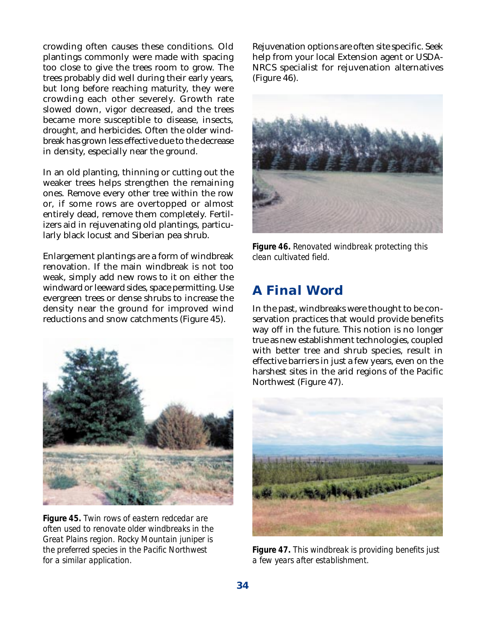crowding often causes these conditions. Old plantings commonly were made with spacing too close to give the trees room to grow. The trees probably did well during their early years, but long before reaching maturity, they were crowding each other severely. Growth rate slowed down, vigor decreased, and the trees became more susceptible to disease, insects, drought, and herbicides. Often the older windbreak has grown less effective due to the decrease in density, especially near the ground.

In an old planting, thinning or cutting out the weaker trees helps strengthen the remaining ones. Remove every other tree within the row or, if some rows are overtopped or almost entirely dead, remove them completely. Fertilizers aid in rejuvenating old plantings, particularly black locust and Siberian pea shrub.

Enlargement plantings are a form of windbreak renovation. If the main windbreak is not too weak, simply add new rows to it on either the windward or leeward sides, space permitting. Use evergreen trees or dense shrubs to increase the density near the ground for improved wind reductions and snow catchments (Figure 45).



*Figure 45. Twin rows of eastern redcedar are often used to renovate older windbreaks in the Great Plains region. Rocky Mountain juniper is the preferred species in the Pacific Northwest for a similar application.*

Rejuvenation options are often site specific. Seek help from your local Extension agent or USDA-NRCS specialist for rejuvenation alternatives (Figure 46).



*Figure 46. Renovated windbreak protecting this clean cultivated field.*

#### *A Final Word*

In the past, windbreaks were thought to be conservation practices that would provide benefits way off in the future. This notion is no longer true as new establishment technologies, coupled with better tree and shrub species, result in effective barriers in just a few years, even on the harshest sites in the arid regions of the Pacific Northwest (Figure 47).



*Figure 47. This windbreak is providing benefits just a few years after establishment.*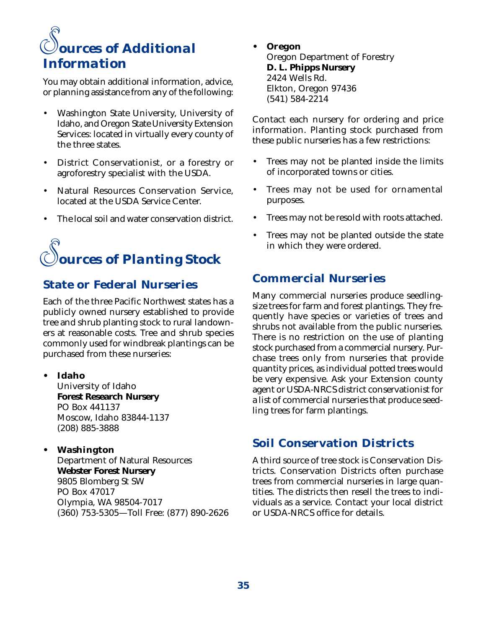#### *rces of Additional Information S*

You may obtain additional information, advice, or planning assistance from any of the following:

- Washington State University, University of Idaho, and Oregon State University Extension Services: located in virtually every county of the three states.
- District Conservationist, or a forestry or agroforestry specialist with the USDA.
- Natural Resources Conservation Service, located at the USDA Service Center.
- The local soil and water conservation district.

## *ources of Planting Stock S*

#### **State or Federal Nurseries**

Each of the three Pacific Northwest states has a publicly owned nursery established to provide tree and shrub planting stock to rural landowners at reasonable costs. Tree and shrub species commonly used for windbreak plantings can be purchased from these nurseries:

**• Idaho**

University of Idaho **Forest Research Nursery** PO Box 441137 Moscow, Idaho 83844-1137 (208) 885-3888

#### **• Washington**

Department of Natural Resources **Webster Forest Nursery** 9805 Blomberg St SW PO Box 47017 Olympia, WA 98504-7017 (360) 753-5305—Toll Free: (877) 890-2626 **• Oregon**

Oregon Department of Forestry **D. L. Phipps Nursery** 2424 Wells Rd. Elkton, Oregon 97436 (541) 584-2214

Contact each nursery for ordering and price information. Planting stock purchased from these public nurseries has a few restrictions:

- Trees may not be planted inside the limits of incorporated towns or cities.
- Trees may not be used for ornamental purposes.
- Trees may not be resold with roots attached.
- Trees may not be planted outside the state in which they were ordered.

#### **Commercial Nurseries**

Many commercial nurseries produce seedlingsize trees for farm and forest plantings. They frequently have species or varieties of trees and shrubs not available from the public nurseries. There is no restriction on the use of planting stock purchased from a commercial nursery. Purchase trees only from nurseries that provide quantity prices, as individual potted trees would be very expensive. Ask your Extension county agent or USDA-NRCS district conservationist for a list of commercial nurseries that produce seedling trees for farm plantings.

#### **Soil Conservation Districts**

A third source of tree stock is Conservation Districts. Conservation Districts often purchase trees from commercial nurseries in large quantities. The districts then resell the trees to individuals as a service. Contact your local district or USDA-NRCS office for details.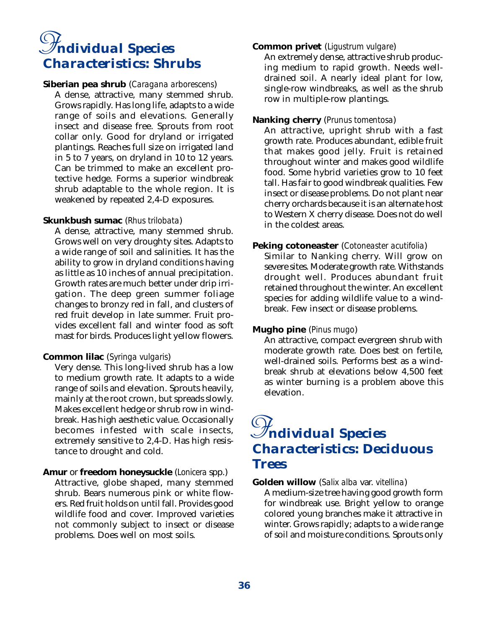## *ndividual Species I Characteristics: Shrubs*

#### **Siberian pea shrub** (*Caragana arborescens*)

A dense, attractive, many stemmed shrub. Grows rapidly. Has long life, adapts to a wide range of soils and elevations. Generally insect and disease free. Sprouts from root collar only. Good for dryland or irrigated plantings. Reaches full size on irrigated land in 5 to 7 years, on dryland in 10 to 12 years. Can be trimmed to make an excellent protective hedge. Forms a superior windbreak shrub adaptable to the whole region. It is weakened by repeated 2,4-D exposures.

#### **Skunkbush sumac** (*Rhus trilobata*)

A dense, attractive, many stemmed shrub. Grows well on very droughty sites. Adapts to a wide range of soil and salinities. It has the ability to grow in dryland conditions having as little as 10 inches of annual precipitation. Growth rates are much better under drip irrigation. The deep green summer foliage changes to bronzy red in fall, and clusters of red fruit develop in late summer. Fruit provides excellent fall and winter food as soft mast for birds. Produces light yellow flowers.

#### **Common lilac** (*Syringa vulgaris*)

Very dense. This long-lived shrub has a low to medium growth rate. It adapts to a wide range of soils and elevation. Sprouts heavily, mainly at the root crown, but spreads slowly. Makes excellent hedge or shrub row in windbreak. Has high aesthetic value. Occasionally becomes infested with scale insects, extremely sensitive to 2,4-D. Has high resistance to drought and cold.

#### **Amur** or **freedom honeysuckle** (*Lonicera* spp.)

Attractive, globe shaped, many stemmed shrub. Bears numerous pink or white flowers. Red fruit holds on until fall. Provides good wildlife food and cover. Improved varieties not commonly subject to insect or disease problems. Does well on most soils.

#### **Common privet** (*Ligustrum vulgare*)

An extremely dense, attractive shrub producing medium to rapid growth. Needs welldrained soil. A nearly ideal plant for low, single-row windbreaks, as well as the shrub row in multiple-row plantings.

#### **Nanking cherry** (*Prunus tomentosa*)

An attractive, upright shrub with a fast growth rate. Produces abundant, edible fruit that makes good jelly. Fruit is retained throughout winter and makes good wildlife food. Some hybrid varieties grow to 10 feet tall. Has fair to good windbreak qualities. Few insect or disease problems. Do not plant near cherry orchards because it is an alternate host to Western X cherry disease. Does not do well in the coldest areas.

#### **Peking cotoneaster** (*Cotoneaster acutifolia*)

Similar to Nanking cherry. Will grow on severe sites. Moderate growth rate. Withstands drought well. Produces abundant fruit retained throughout the winter. An excellent species for adding wildlife value to a windbreak. Few insect or disease problems.

#### **Mugho pine** (*Pinus mugo*)

An attractive, compact evergreen shrub with moderate growth rate. Does best on fertile, well-drained soils. Performs best as a windbreak shrub at elevations below 4,500 feet as winter burning is a problem above this elevation.

## *ndividual Species I Characteristics: Deciduous Trees*

#### **Golden willow** (*Salix alba* var. *vitellina*)

A medium-size tree having good growth form for windbreak use. Bright yellow to orange colored young branches make it attractive in winter. Grows rapidly; adapts to a wide range of soil and moisture conditions. Sprouts only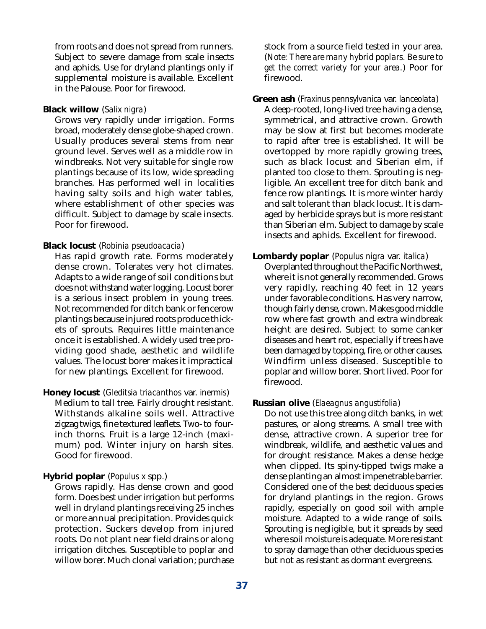from roots and does not spread from runners. Subject to severe damage from scale insects and aphids. Use for dryland plantings only if supplemental moisture is available. Excellent in the Palouse. Poor for firewood.

#### **Black willow** (*Salix nigra*)

Grows very rapidly under irrigation. Forms broad, moderately dense globe-shaped crown. Usually produces several stems from near ground level. Serves well as a middle row in windbreaks. Not very suitable for single row plantings because of its low, wide spreading branches. Has performed well in localities having salty soils and high water tables, where establishment of other species was difficult. Subject to damage by scale insects. Poor for firewood.

#### **Black locust** (*Robinia pseudoacacia*)

Has rapid growth rate. Forms moderately dense crown. Tolerates very hot climates. Adapts to a wide range of soil conditions but does not withstand water logging. Locust borer is a serious insect problem in young trees. Not recommended for ditch bank or fencerow plantings because injured roots produce thickets of sprouts. Requires little maintenance once it is established. A widely used tree providing good shade, aesthetic and wildlife values. The locust borer makes it impractical for new plantings. Excellent for firewood.

#### **Honey locust** (*Gleditsia triacanthos* var. *inermis*) Medium to tall tree. Fairly drought resistant. Withstands alkaline soils well. Attractive zigzag twigs, fine textured leaflets. Two- to fourinch thorns. Fruit is a large 12-inch (maximum) pod. Winter injury on harsh sites. Good for firewood.

#### **Hybrid poplar** (*Populus x* spp.)

Grows rapidly. Has dense crown and good form. Does best under irrigation but performs well in dryland plantings receiving 25 inches or more annual precipitation. Provides quick protection. Suckers develop from injured roots. Do not plant near field drains or along irrigation ditches. Susceptible to poplar and willow borer. Much clonal variation; purchase

stock from a source field tested in your area. (*Note: There are many hybrid poplars. Be sure to get the correct variety for your area.*) Poor for firewood.

**Green ash** (*Fraxinus pennsylvanica* var. *lanceolata*)

A deep-rooted, long-lived tree having a dense, symmetrical, and attractive crown. Growth may be slow at first but becomes moderate to rapid after tree is established. It will be overtopped by more rapidly growing trees, such as black locust and Siberian elm, if planted too close to them. Sprouting is negligible. An excellent tree for ditch bank and fence row plantings. It is more winter hardy and salt tolerant than black locust. It is damaged by herbicide sprays but is more resistant than Siberian elm. Subject to damage by scale insects and aphids. Excellent for firewood.

#### **Lombardy poplar** (*Populus nigra* var. *italica*)

Overplanted throughout the Pacific Northwest, where it is not generally recommended. Grows very rapidly, reaching 40 feet in 12 years under favorable conditions. Has very narrow, though fairly dense, crown. Makes good middle row where fast growth and extra windbreak height are desired. Subject to some canker diseases and heart rot, especially if trees have been damaged by topping, fire, or other causes. Windfirm unless diseased. Susceptible to poplar and willow borer. Short lived. Poor for firewood.

#### **Russian olive** (*Elaeagnus angustifolia*)

Do not use this tree along ditch banks, in wet pastures, or along streams. A small tree with dense, attractive crown. A superior tree for windbreak, wildlife, and aesthetic values and for drought resistance. Makes a dense hedge when clipped. Its spiny-tipped twigs make a dense planting an almost impenetrable barrier. Considered one of the best deciduous species for dryland plantings in the region. Grows rapidly, especially on good soil with ample moisture. Adapted to a wide range of soils. Sprouting is negligible, but it spreads by seed where soil moisture is adequate. More resistant to spray damage than other deciduous species but not as resistant as dormant evergreens.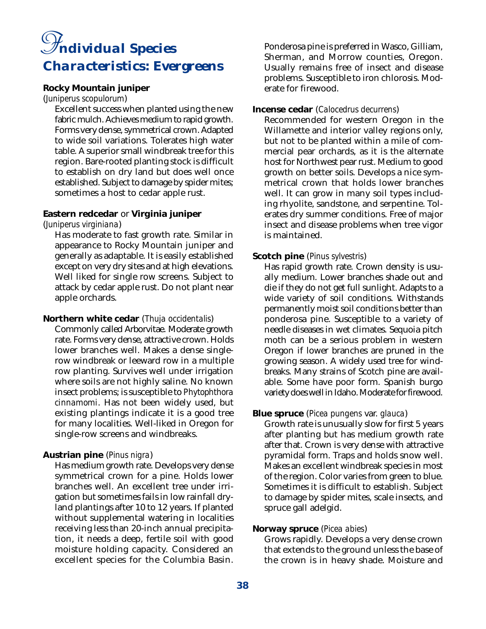## *ndividual Species I Characteristics: Evergreens*

#### **Rocky Mountain juniper**

(*Juniperus scopulorum*)

Excellent success when planted using the new fabric mulch. Achieves medium to rapid growth. Forms very dense, symmetrical crown. Adapted to wide soil variations. Tolerates high water table. A superior small windbreak tree for this region. Bare-rooted planting stock is difficult to establish on dry land but does well once established. Subject to damage by spider mites; sometimes a host to cedar apple rust.

#### **Eastern redcedar** or **Virginia juniper**

(*Juniperus virginiana*)

Has moderate to fast growth rate. Similar in appearance to Rocky Mountain juniper and generally as adaptable. It is easily established except on very dry sites and at high elevations. Well liked for single row screens. Subject to attack by cedar apple rust. Do not plant near apple orchards.

#### **Northern white cedar** (*Thuja occidentalis*)

Commonly called Arborvitae. Moderate growth rate. Forms very dense, attractive crown. Holds lower branches well. Makes a dense singlerow windbreak or leeward row in a multiple row planting. Survives well under irrigation where soils are not highly saline. No known insect problems; is susceptible to *Phytophthora cinnamomi*. Has not been widely used, but existing plantings indicate it is a good tree for many localities. Well-liked in Oregon for single-row screens and windbreaks.

#### **Austrian pine** (*Pinus nigra*)

Has medium growth rate. Develops very dense symmetrical crown for a pine. Holds lower branches well. An excellent tree under irrigation but sometimes fails in low rainfall dryland plantings after 10 to 12 years. If planted without supplemental watering in localities receiving less than 20-inch annual precipitation, it needs a deep, fertile soil with good moisture holding capacity. Considered an excellent species for the Columbia Basin.

Ponderosa pine is preferred in Wasco, Gilliam, Sherman, and Morrow counties, Oregon. Usually remains free of insect and disease problems. Susceptible to iron chlorosis. Moderate for firewood.

#### **Incense cedar** (*Calocedrus decurrens*)

Recommended for western Oregon in the Willamette and interior valley regions only, but not to be planted within a mile of commercial pear orchards, as it is the alternate host for Northwest pear rust. Medium to good growth on better soils. Develops a nice symmetrical crown that holds lower branches well. It can grow in many soil types including rhyolite, sandstone, and serpentine. Tolerates dry summer conditions. Free of major insect and disease problems when tree vigor is maintained.

#### **Scotch pine** (*Pinus sylvestris*)

Has rapid growth rate. Crown density is usually medium. Lower branches shade out and die if they do not get full sunlight. Adapts to a wide variety of soil conditions. Withstands permanently moist soil conditions better than ponderosa pine. Susceptible to a variety of needle diseases in wet climates. Sequoia pitch moth can be a serious problem in western Oregon if lower branches are pruned in the growing season. A widely used tree for windbreaks. Many strains of Scotch pine are available. Some have poor form. Spanish burgo variety does well in Idaho. Moderate for firewood.

#### **Blue spruce** (*Picea pungens* var. *glauca*)

Growth rate is unusually slow for first 5 years after planting but has medium growth rate after that. Crown is very dense with attractive pyramidal form. Traps and holds snow well. Makes an excellent windbreak species in most of the region. Color varies from green to blue. Sometimes it is difficult to establish. Subject to damage by spider mites, scale insects, and spruce gall adelgid.

#### **Norway spruce** (*Picea abies*)

Grows rapidly. Develops a very dense crown that extends to the ground unless the base of the crown is in heavy shade. Moisture and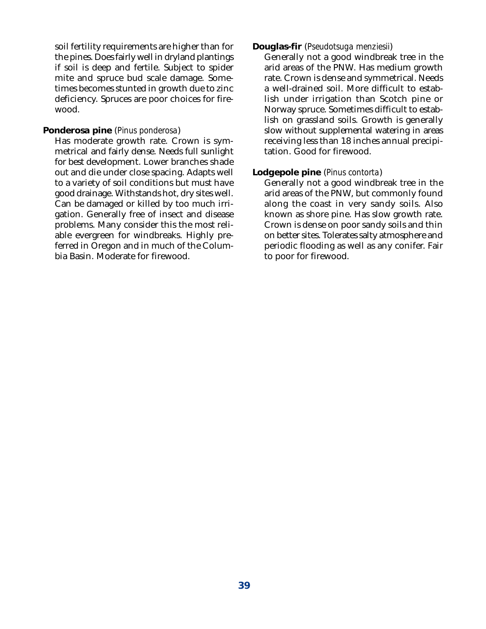soil fertility requirements are higher than for the pines. Does fairly well in dryland plantings if soil is deep and fertile. Subject to spider mite and spruce bud scale damage. Sometimes becomes stunted in growth due to zinc deficiency. Spruces are poor choices for firewood.

#### **Ponderosa pine** (*Pinus ponderosa*)

Has moderate growth rate. Crown is symmetrical and fairly dense. Needs full sunlight for best development. Lower branches shade out and die under close spacing. Adapts well to a variety of soil conditions but must have good drainage. Withstands hot, dry sites well. Can be damaged or killed by too much irrigation. Generally free of insect and disease problems. Many consider this the most reliable evergreen for windbreaks. Highly preferred in Oregon and in much of the Columbia Basin. Moderate for firewood.

#### **Douglas-fir** (*Pseudotsuga menziesii*)

Generally not a good windbreak tree in the arid areas of the PNW. Has medium growth rate. Crown is dense and symmetrical. Needs a well-drained soil. More difficult to establish under irrigation than Scotch pine or Norway spruce. Sometimes difficult to establish on grassland soils. Growth is generally slow without supplemental watering in areas receiving less than 18 inches annual precipitation. Good for firewood.

#### **Lodgepole pine** (*Pinus contorta*)

Generally not a good windbreak tree in the arid areas of the PNW, but commonly found along the coast in very sandy soils. Also known as shore pine. Has slow growth rate. Crown is dense on poor sandy soils and thin on better sites. Tolerates salty atmosphere and periodic flooding as well as any conifer. Fair to poor for firewood.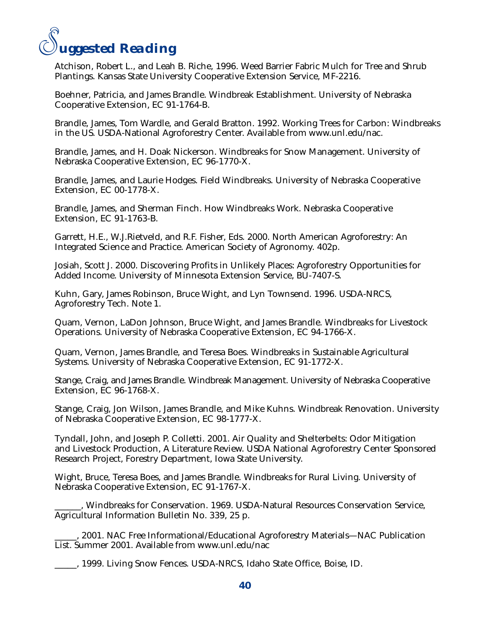

Atchison, Robert L., and Leah B. Riche, 1996. Weed Barrier Fabric Mulch for Tree and Shrub Plantings. Kansas State University Cooperative Extension Service, MF-2216.

Boehner, Patricia, and James Brandle. Windbreak Establishment. University of Nebraska Cooperative Extension, EC 91-1764-B.

Brandle, James, Tom Wardle, and Gerald Bratton. 1992. Working Trees for Carbon: Windbreaks in the US. USDA-National Agroforestry Center. Available from www.unl.edu/nac.

Brandle, James, and H. Doak Nickerson. Windbreaks for Snow Management. University of Nebraska Cooperative Extension, EC 96-1770-X.

Brandle, James, and Laurie Hodges. Field Windbreaks. University of Nebraska Cooperative Extension, EC 00-1778-X.

Brandle, James, and Sherman Finch. How Windbreaks Work. Nebraska Cooperative Extension, EC 91-1763-B.

Garrett, H.E., W.J.Rietveld, and R.F. Fisher, Eds. 2000. North American Agroforestry: An Integrated Science and Practice. American Society of Agronomy. 402p.

Josiah, Scott J. 2000. Discovering Profits in Unlikely Places: Agroforestry Opportunities for Added Income. University of Minnesota Extension Service, BU-7407-S.

Kuhn, Gary, James Robinson, Bruce Wight, and Lyn Townsend. 1996. USDA-NRCS, Agroforestry Tech. Note 1.

Quam, Vernon, LaDon Johnson, Bruce Wight, and James Brandle. Windbreaks for Livestock Operations. University of Nebraska Cooperative Extension, EC 94-1766-X.

Quam, Vernon, James Brandle, and Teresa Boes. Windbreaks in Sustainable Agricultural Systems. University of Nebraska Cooperative Extension, EC 91-1772-X.

Stange, Craig, and James Brandle. Windbreak Management. University of Nebraska Cooperative Extension, EC 96-1768-X.

Stange, Craig, Jon Wilson, James Brandle, and Mike Kuhns. Windbreak Renovation. University of Nebraska Cooperative Extension, EC 98-1777-X.

Tyndall, John, and Joseph P. Colletti. 2001. Air Quality and Shelterbelts: Odor Mitigation and Livestock Production, A Literature Review. USDA National Agroforestry Center Sponsored Research Project, Forestry Department, Iowa State University.

Wight, Bruce, Teresa Boes, and James Brandle. Windbreaks for Rural Living. University of Nebraska Cooperative Extension, EC 91-1767-X.

\_\_\_\_\_\_, Windbreaks for Conservation. 1969. USDA-Natural Resources Conservation Service, Agricultural Information Bulletin No. 339, 25 p.

\_\_\_\_\_, 2001. NAC Free Informational/Educational Agroforestry Materials—NAC Publication List. Summer 2001. Available from www.unl.edu/nac

\_\_\_\_\_, 1999. Living Snow Fences. USDA-NRCS, Idaho State Office, Boise, ID.